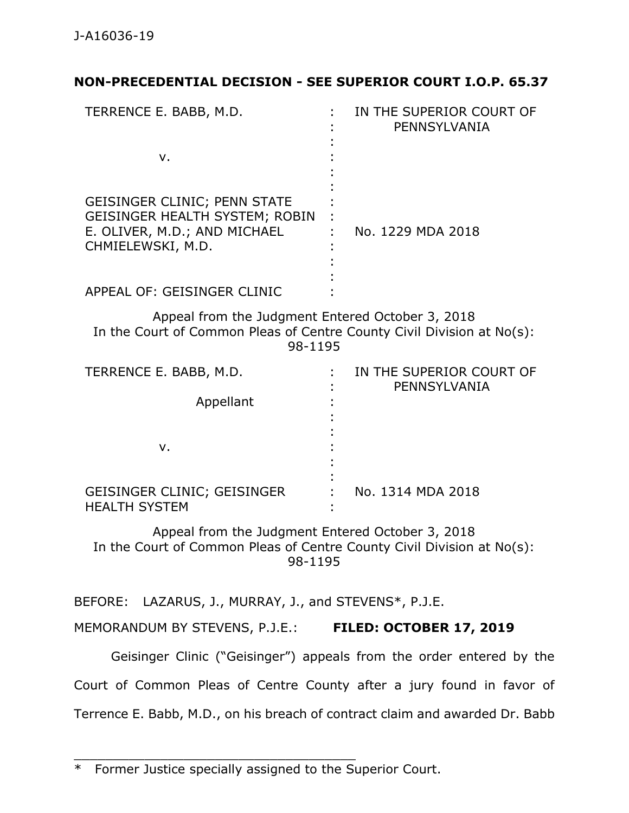# **NON-PRECEDENTIAL DECISION - SEE SUPERIOR COURT I.O.P. 65.37**

| TERRENCE E. BABB, M.D.                                                                                                            | IN THE SUPERIOR COURT OF<br>PENNSYLVANIA |
|-----------------------------------------------------------------------------------------------------------------------------------|------------------------------------------|
| v.                                                                                                                                |                                          |
| <b>GEISINGER CLINIC; PENN STATE</b><br><b>GEISINGER HEALTH SYSTEM; ROBIN</b><br>E. OLIVER, M.D.; AND MICHAEL<br>CHMIELEWSKI, M.D. | No. 1229 MDA 2018                        |
| APPEAL OF: GEISINGER CLINIC                                                                                                       |                                          |

Appeal from the Judgment Entered October 3, 2018 In the Court of Common Pleas of Centre County Civil Division at No(s): 98-1195

| TERRENCE E. BABB, M.D.                              | IN THE SUPERIOR COURT OF<br>PENNSYLVANIA |
|-----------------------------------------------------|------------------------------------------|
| Appellant                                           |                                          |
| v.                                                  |                                          |
| GEISINGER CLINIC; GEISINGER<br><b>HEALTH SYSTEM</b> | No. 1314 MDA 2018                        |

Appeal from the Judgment Entered October 3, 2018 In the Court of Common Pleas of Centre County Civil Division at No(s): 98-1195

BEFORE: LAZARUS, J., MURRAY, J., and STEVENS\*, P.J.E.

MEMORANDUM BY STEVENS, P.J.E.: **FILED: OCTOBER 17, 2019**

Geisinger Clinic ("Geisinger") appeals from the order entered by the Court of Common Pleas of Centre County after a jury found in favor of Terrence E. Babb, M.D., on his breach of contract claim and awarded Dr. Babb

\_\_\_\_\_\_\_\_\_\_\_\_\_\_\_\_\_\_\_\_\_\_\_\_\_\_\_\_\_\_\_\_\_\_\_\_

<sup>\*</sup> Former Justice specially assigned to the Superior Court.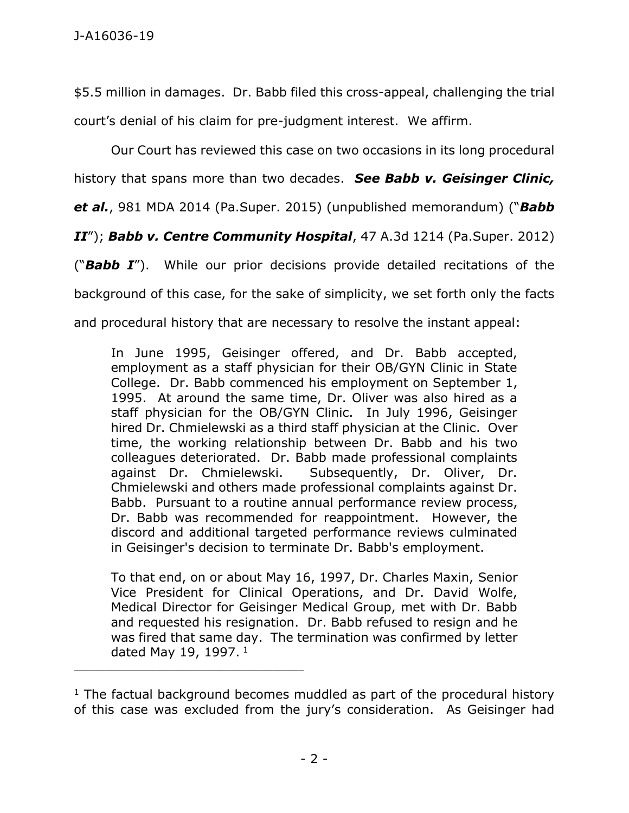\$5.5 million in damages. Dr. Babb filed this cross-appeal, challenging the trial court's denial of his claim for pre-judgment interest. We affirm.

Our Court has reviewed this case on two occasions in its long procedural history that spans more than two decades. *See Babb v. Geisinger Clinic, et al.*, 981 MDA 2014 (Pa.Super. 2015) (unpublished memorandum) ("*Babb*

*II*"); *Babb v. Centre Community Hospital*, 47 A.3d 1214 (Pa.Super. 2012)

("*Babb I*").While our prior decisions provide detailed recitations of the

background of this case, for the sake of simplicity, we set forth only the facts

and procedural history that are necessary to resolve the instant appeal:

In June 1995, Geisinger offered, and Dr. Babb accepted, employment as a staff physician for their OB/GYN Clinic in State College. Dr. Babb commenced his employment on September 1, 1995. At around the same time, Dr. Oliver was also hired as a staff physician for the OB/GYN Clinic. In July 1996, Geisinger hired Dr. Chmielewski as a third staff physician at the Clinic. Over time, the working relationship between Dr. Babb and his two colleagues deteriorated. Dr. Babb made professional complaints against Dr. Chmielewski. Subsequently, Dr. Oliver, Dr. Chmielewski and others made professional complaints against Dr. Babb. Pursuant to a routine annual performance review process, Dr. Babb was recommended for reappointment. However, the discord and additional targeted performance reviews culminated in Geisinger's decision to terminate Dr. Babb's employment.

To that end, on or about May 16, 1997, Dr. Charles Maxin, Senior Vice President for Clinical Operations, and Dr. David Wolfe, Medical Director for Geisinger Medical Group, met with Dr. Babb and requested his resignation. Dr. Babb refused to resign and he was fired that same day. The termination was confirmed by letter dated May 19, 1997.<sup>1</sup>

 $1$  The factual background becomes muddled as part of the procedural history of this case was excluded from the jury's consideration. As Geisinger had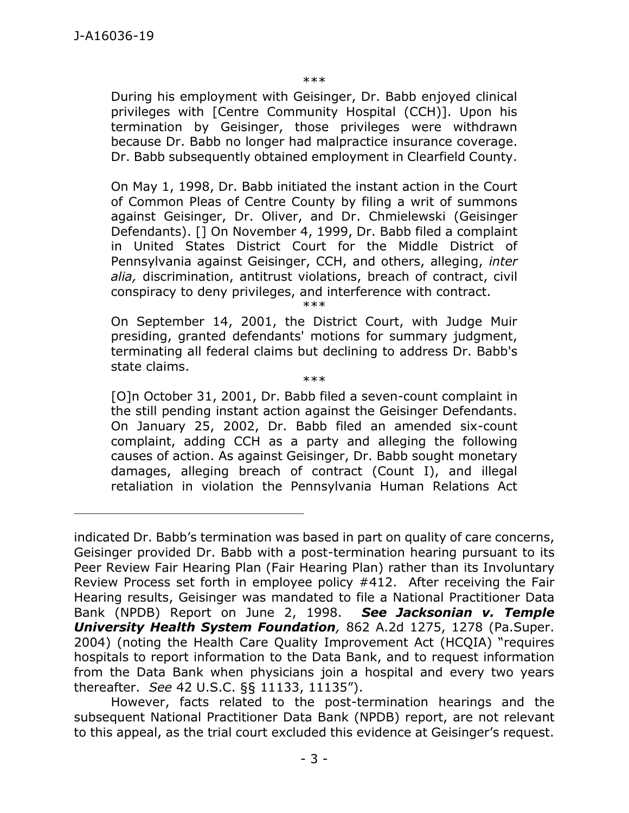\*\*\*

During his employment with Geisinger, Dr. Babb enjoyed clinical privileges with [Centre Community Hospital (CCH)]. Upon his termination by Geisinger, those privileges were withdrawn because Dr. Babb no longer had malpractice insurance coverage. Dr. Babb subsequently obtained employment in Clearfield County.

On May 1, 1998, Dr. Babb initiated the instant action in the Court of Common Pleas of Centre County by filing a writ of summons against Geisinger, Dr. Oliver, and Dr. Chmielewski (Geisinger Defendants). [] On November 4, 1999, Dr. Babb filed a complaint in United States District Court for the Middle District of Pennsylvania against Geisinger, CCH, and others, alleging, *inter alia,* discrimination, antitrust violations, breach of contract, civil conspiracy to deny privileges, and interference with contract.

\*\*\*

On September 14, 2001, the District Court, with Judge Muir presiding, granted defendants' motions for summary judgment, terminating all federal claims but declining to address Dr. Babb's state claims.

\*\*\*

[O]n October 31, 2001, Dr. Babb filed a seven-count complaint in the still pending instant action against the Geisinger Defendants. On January 25, 2002, Dr. Babb filed an amended six-count complaint, adding CCH as a party and alleging the following causes of action. As against Geisinger, Dr. Babb sought monetary damages, alleging breach of contract (Count I), and illegal retaliation in violation the Pennsylvania Human Relations Act

indicated Dr. Babb's termination was based in part on quality of care concerns, Geisinger provided Dr. Babb with a post-termination hearing pursuant to its Peer Review Fair Hearing Plan (Fair Hearing Plan) rather than its Involuntary Review Process set forth in employee policy #412. After receiving the Fair Hearing results, Geisinger was mandated to file a National Practitioner Data Bank (NPDB) Report on June 2, 1998. *See [Jacksonian v. Temple](https://1.next.westlaw.com/Link/Document/FullText?findType=Y&serNum=2005615902&pubNum=0000162&originatingDoc=Idb8a93d0b67011e1b60ab297d3d07bc5&refType=RP&fi=co_pp_sp_162_1278&originationContext=document&transitionType=DocumentItem&contextData=(sc.UserEnteredCitation)#co_pp_sp_162_1278)  [University Health System Foundation](https://1.next.westlaw.com/Link/Document/FullText?findType=Y&serNum=2005615902&pubNum=0000162&originatingDoc=Idb8a93d0b67011e1b60ab297d3d07bc5&refType=RP&fi=co_pp_sp_162_1278&originationContext=document&transitionType=DocumentItem&contextData=(sc.UserEnteredCitation)#co_pp_sp_162_1278),* 862 A.2d 1275, 1278 (Pa.Super. [2004\)](https://1.next.westlaw.com/Link/Document/FullText?findType=Y&serNum=2005615902&pubNum=0000162&originatingDoc=Idb8a93d0b67011e1b60ab297d3d07bc5&refType=RP&fi=co_pp_sp_162_1278&originationContext=document&transitionType=DocumentItem&contextData=(sc.UserEnteredCitation)#co_pp_sp_162_1278) (noting the Health Care Quality Improvement Act (HCQIA) "requires hospitals to report information to the Data Bank, and to request information from the Data Bank when physicians join a hospital and every two years thereafter. *See* [42 U.S.C. §§ 11133,](https://1.next.westlaw.com/Link/Document/FullText?findType=L&pubNum=1000546&cite=42USCAS11133&originatingDoc=Idb8a93d0b67011e1b60ab297d3d07bc5&refType=LQ&originationContext=document&transitionType=DocumentItem&contextData=(sc.UserEnteredCitation)) [11135](https://1.next.westlaw.com/Link/Document/FullText?findType=L&pubNum=1000546&cite=42USCAS11135&originatingDoc=Idb8a93d0b67011e1b60ab297d3d07bc5&refType=LQ&originationContext=document&transitionType=DocumentItem&contextData=(sc.UserEnteredCitation))").

However, facts related to the post-termination hearings and the subsequent National Practitioner Data Bank (NPDB) report, are not relevant to this appeal, as the trial court excluded this evidence at Geisinger's request.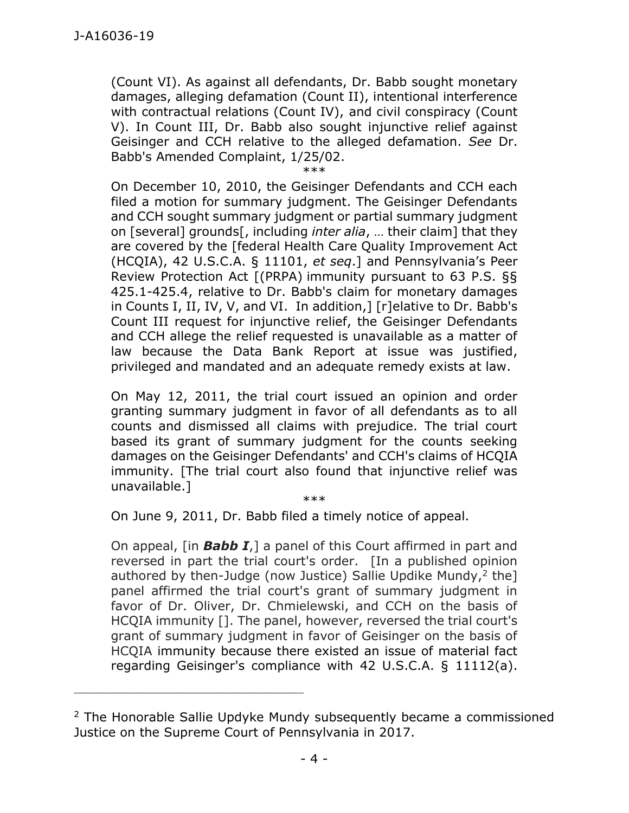(Count VI). As against all defendants, Dr. Babb sought monetary damages, alleging defamation (Count II), intentional interference with contractual relations (Count IV), and civil conspiracy (Count V). In Count III, Dr. Babb also sought injunctive relief against Geisinger and CCH relative to the alleged defamation. *See* Dr. Babb's Amended Complaint, 1/25/02.

\*\*\*

On December 10, 2010, the Geisinger Defendants and CCH each filed a motion for summary judgment. The Geisinger Defendants and CCH sought summary judgment or partial summary judgment on [several] grounds[, including *inter alia*, … their claim] that they are covered by the [federal Health Care Quality Improvement Act (HCQIA), 42 U.S.C.A. § 11101, *et seq*.] and Pennsylvania's Peer Review Protection Act [(PRPA) immunity pursuant to 63 P.S. §§ 425.1-425.4, relative to Dr. Babb's claim for monetary damages in Counts I, II, IV, V, and VI. In addition,] [r]elative to Dr. Babb's Count III request for injunctive relief, the Geisinger Defendants and CCH allege the relief requested is unavailable as a matter of law because the Data Bank Report at issue was justified, privileged and mandated and an adequate remedy exists at law.

On May 12, 2011, the trial court issued an opinion and order granting summary judgment in favor of all defendants as to all counts and dismissed all claims with prejudice. The trial court based its grant of summary judgment for the counts seeking damages on the Geisinger Defendants' and CCH's claims of HCQIA immunity. [The trial court also found that injunctive relief was unavailable.] \*\*\*

On June 9, 2011, Dr. Babb filed a timely notice of appeal.

On appeal, [in *Babb I*,] a panel of this Court affirmed in part and reversed in part the trial court's order. [In a published opinion authored by then-Judge (now Justice) Sallie Updike Mundy, $2$  the] panel affirmed the trial court's grant of summary judgment in favor of Dr. Oliver, Dr. Chmielewski, and CCH on the basis of HCQIA immunity []. The panel, however, reversed the trial court's grant of summary judgment in favor of Geisinger on the basis of HCQIA immunity because there existed an issue of material fact regarding Geisinger's compliance with [42 U.S.C.A. § 11112\(a\).](https://1.next.westlaw.com/Link/Document/FullText?findType=L&pubNum=1000546&cite=42USCAS11112&originatingDoc=I903589be89f811e5a807ad48145ed9f1&refType=RB&originationContext=document&transitionType=DocumentItem&contextData=(sc.UserEnteredCitation)#co_pp_8b3b0000958a4)

<sup>&</sup>lt;sup>2</sup> The Honorable Sallie Updyke Mundy subsequently became a commissioned Justice on the Supreme Court of Pennsylvania in 2017.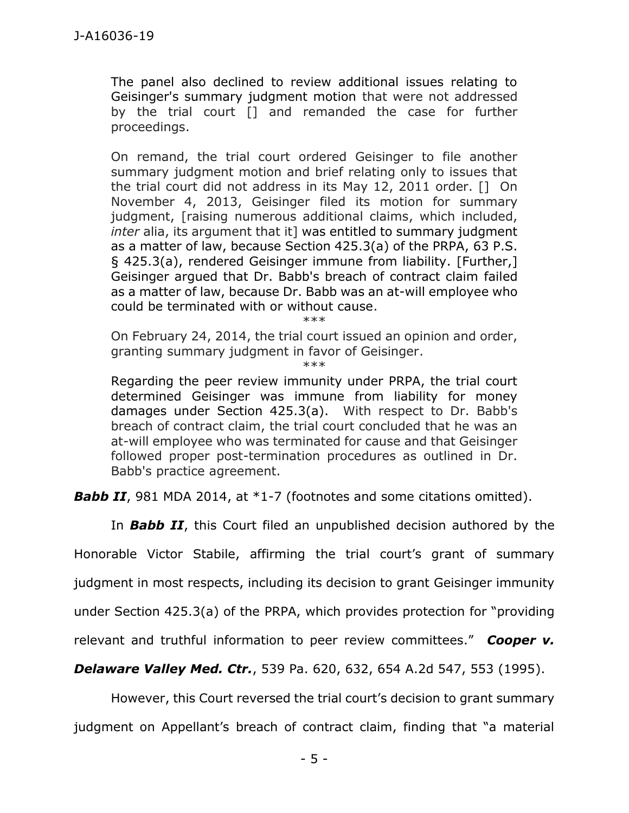The panel also declined to review additional issues relating to Geisinger's summary judgment motion that were not addressed by the trial court [] and remanded the case for further proceedings.

On remand, the trial court ordered Geisinger to file another summary judgment motion and brief relating only to issues that the trial court did not address in its May 12, 2011 order. [] On November 4, 2013, Geisinger filed its motion for summary judgment, [raising numerous additional claims, which included, *inter* alia, its argument that it] was entitled to summary judgment as a matter of law, because Section 425.3(a) of the PRPA, [63 P.S.](https://1.next.westlaw.com/Link/Document/FullText?findType=L&pubNum=1000262&cite=PS63S425.3&originatingDoc=I903589be89f811e5a807ad48145ed9f1&refType=SP&originationContext=document&transitionType=DocumentItem&contextData=(sc.UserEnteredCitation)#co_pp_8b3b0000958a4)  [§ 425.3\(a\),](https://1.next.westlaw.com/Link/Document/FullText?findType=L&pubNum=1000262&cite=PS63S425.3&originatingDoc=I903589be89f811e5a807ad48145ed9f1&refType=SP&originationContext=document&transitionType=DocumentItem&contextData=(sc.UserEnteredCitation)#co_pp_8b3b0000958a4) rendered Geisinger immune from liability. [Further,] Geisinger argued that Dr. Babb's breach of contract claim failed as a matter of law, because Dr. Babb was an at-will employee who could be terminated with or without cause.

\*\*\*

On February 24, 2014, the trial court issued an opinion and order, granting summary judgment in favor of Geisinger.

\*\*\*

Regarding the peer review immunity under PRPA, the trial court determined Geisinger was immune from liability for money damages under [Section 425.3\(a\).](https://1.next.westlaw.com/Link/Document/FullText?findType=L&pubNum=1000262&cite=PS63S425.3&originatingDoc=I903589be89f811e5a807ad48145ed9f1&refType=SP&originationContext=document&transitionType=DocumentItem&contextData=(sc.UserEnteredCitation)#co_pp_8b3b0000958a4) With respect to Dr. Babb's breach of contract claim, the trial court concluded that he was an at-will employee who was terminated for cause and that Geisinger followed proper post-termination procedures as outlined in Dr. Babb's practice agreement.

**Babb II**, 981 MDA 2014, at \*1-7 (footnotes and some citations omitted).

In *Babb II*, this Court filed an unpublished decision authored by the

Honorable Victor Stabile, affirming the trial court's grant of summary

judgment in most respects, including its decision to grant Geisinger immunity

under Section 425.3(a) of the PRPA, which provides protection for "providing

relevant and truthful information to peer review committees." *Cooper v.*

*Delaware Valley Med. Ctr.*, 539 Pa. 620, 632, 654 A.2d 547, 553 (1995).

However, this Court reversed the trial court's decision to grant summary judgment on Appellant's breach of contract claim, finding that "a material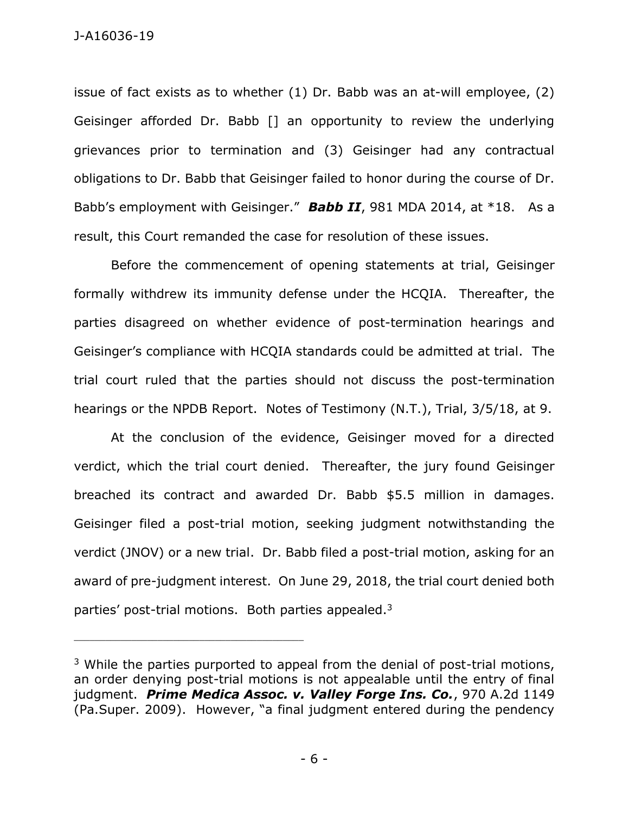issue of fact exists as to whether (1) Dr. Babb was an at-will employee, (2) Geisinger afforded Dr. Babb [] an opportunity to review the underlying grievances prior to termination and (3) Geisinger had any contractual obligations to Dr. Babb that Geisinger failed to honor during the course of Dr. Babb's employment with Geisinger." *Babb II*, 981 MDA 2014, at \*18. As a result, this Court remanded the case for resolution of these issues.

Before the commencement of opening statements at trial, Geisinger formally withdrew its immunity defense under the HCQIA. Thereafter, the parties disagreed on whether evidence of post-termination hearings and Geisinger's compliance with HCQIA standards could be admitted at trial. The trial court ruled that the parties should not discuss the post-termination hearings or the NPDB Report. Notes of Testimony (N.T.), Trial, 3/5/18, at 9.

At the conclusion of the evidence, Geisinger moved for a directed verdict, which the trial court denied. Thereafter, the jury found Geisinger breached its contract and awarded Dr. Babb \$5.5 million in damages. Geisinger filed a post-trial motion, seeking judgment notwithstanding the verdict (JNOV) or a new trial. Dr. Babb filed a post-trial motion, asking for an award of pre-judgment interest. On June 29, 2018, the trial court denied both parties' post-trial motions. Both parties appealed.<sup>3</sup>

 $3$  While the parties purported to appeal from the denial of post-trial motions, an order denying post-trial motions is not appealable until the entry of final judgment.*Prime Medica Assoc. v. Valley Forge Ins. Co.*, 970 A.2d 1149 (Pa.Super. 2009). However, "a final judgment entered during the pendency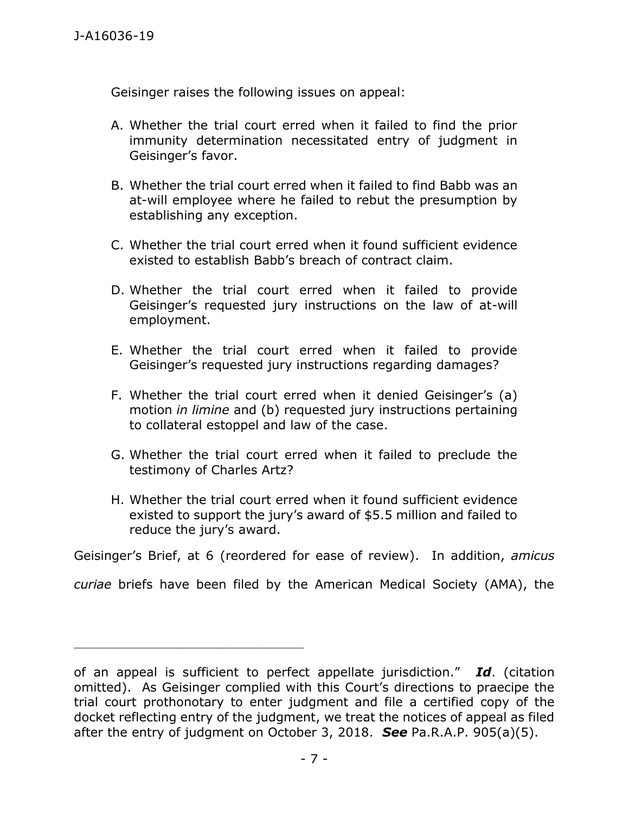Geisinger raises the following issues on appeal:

- A. Whether the trial court erred when it failed to find the prior immunity determination necessitated entry of judgment in Geisinger's favor.
- B. Whether the trial court erred when it failed to find Babb was an at-will employee where he failed to rebut the presumption by establishing any exception.
- C. Whether the trial court erred when it found sufficient evidence existed to establish Babb's breach of contract claim.
- D. Whether the trial court erred when it failed to provide Geisinger's requested jury instructions on the law of at-will employment.
- E. Whether the trial court erred when it failed to provide Geisinger's requested jury instructions regarding damages?
- F. Whether the trial court erred when it denied Geisinger's (a) motion *in limine* and (b) requested jury instructions pertaining to collateral estoppel and law of the case.
- G. Whether the trial court erred when it failed to preclude the testimony of Charles Artz?
- H. Whether the trial court erred when it found sufficient evidence existed to support the jury's award of \$5.5 million and failed to reduce the jury's award.

Geisinger's Brief, at 6 (reordered for ease of review). In addition, *amicus* 

*curiae* briefs have been filed by the American Medical Society (AMA), the

of an appeal is sufficient to perfect appellate jurisdiction." *Id*. (citation omitted). As Geisinger complied with this Court's directions to praecipe the trial court prothonotary to enter judgment and file a certified copy of the docket reflecting entry of the judgment, we treat the notices of appeal as filed after the entry of judgment on October 3, 2018. *See* Pa.R.A.P. 905(a)(5).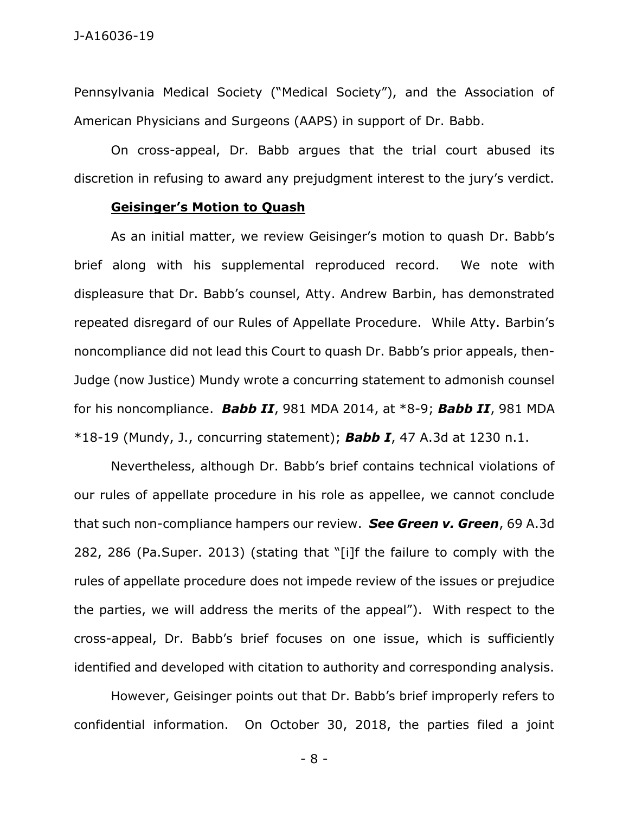Pennsylvania Medical Society ("Medical Society"), and the Association of American Physicians and Surgeons (AAPS) in support of Dr. Babb.

On cross-appeal, Dr. Babb argues that the trial court abused its discretion in refusing to award any prejudgment interest to the jury's verdict.

#### **Geisinger's Motion to Quash**

As an initial matter, we review Geisinger's motion to quash Dr. Babb's brief along with his supplemental reproduced record. We note with displeasure that Dr. Babb's counsel, Atty. Andrew Barbin, has demonstrated repeated disregard of our Rules of Appellate Procedure. While Atty. Barbin's noncompliance did not lead this Court to quash Dr. Babb's prior appeals, then-Judge (now Justice) Mundy wrote a concurring statement to admonish counsel for his noncompliance. *Babb II*, 981 MDA 2014, at \*8-9; *Babb II*, 981 MDA \*18-19 (Mundy, J., concurring statement); *Babb I*, 47 A.3d at 1230 n.1.

Nevertheless, although Dr. Babb's brief contains technical violations of our rules of appellate procedure in his role as appellee, we cannot conclude that such non-compliance hampers our review. *See Green v. Green*, 69 A.3d 282, 286 (Pa.Super. 2013) (stating that "[i]f the failure to comply with the rules of appellate procedure does not impede review of the issues or prejudice the parties, we will address the merits of the appeal").With respect to the cross-appeal, Dr. Babb's brief focuses on one issue, which is sufficiently identified and developed with citation to authority and corresponding analysis.

However, Geisinger points out that Dr. Babb's brief improperly refers to confidential information. On October 30, 2018, the parties filed a joint

- 8 -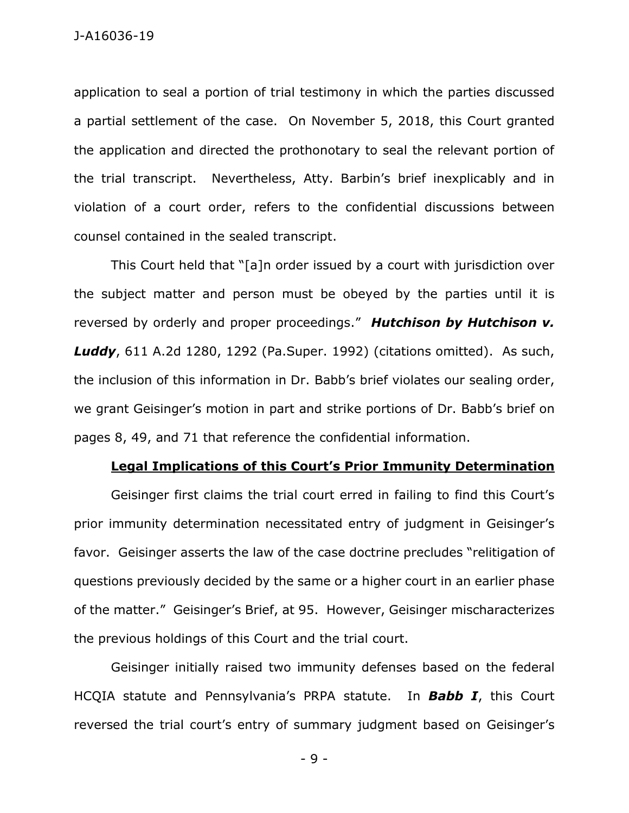application to seal a portion of trial testimony in which the parties discussed a partial settlement of the case. On November 5, 2018, this Court granted the application and directed the prothonotary to seal the relevant portion of the trial transcript. Nevertheless, Atty. Barbin's brief inexplicably and in violation of a court order, refers to the confidential discussions between counsel contained in the sealed transcript.

This Court held that "[a]n order issued by a court with jurisdiction over the subject matter and person must be obeyed by the parties until it is reversed by orderly and proper proceedings." *Hutchison by Hutchison v. Luddy*, 611 A.2d 1280, 1292 (Pa.Super. 1992) (citations omitted). As such, the inclusion of this information in Dr. Babb's brief violates our sealing order, we grant Geisinger's motion in part and strike portions of Dr. Babb's brief on pages 8, 49, and 71 that reference the confidential information.

#### **Legal Implications of this Court's Prior Immunity Determination**

Geisinger first claims the trial court erred in failing to find this Court's prior immunity determination necessitated entry of judgment in Geisinger's favor. Geisinger asserts the law of the case doctrine precludes "relitigation of questions previously decided by the same or a higher court in an earlier phase of the matter." Geisinger's Brief, at 95. However, Geisinger mischaracterizes the previous holdings of this Court and the trial court.

Geisinger initially raised two immunity defenses based on the federal HCQIA statute and Pennsylvania's PRPA statute. In *Babb I*, this Court reversed the trial court's entry of summary judgment based on Geisinger's

- 9 -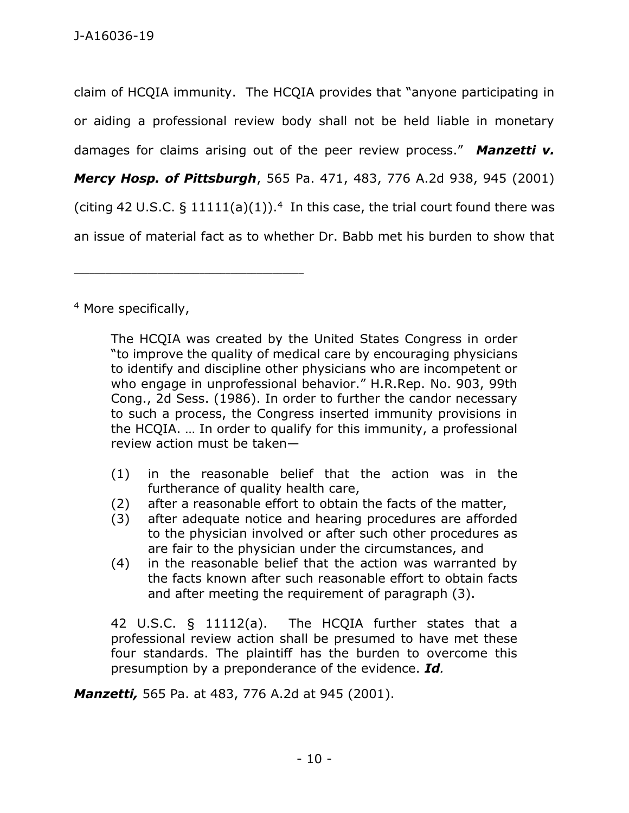claim of HCQIA immunity. The HCQIA provides that "anyone participating in or aiding a professional review body shall not be held liable in monetary damages for claims arising out of the peer review process." *Manzetti v. Mercy Hosp. of Pittsburgh*, 565 Pa. 471, 483, 776 A.2d 938, 945 (2001) (citing 42 U.S.C.  $\S$  11111(a)(1)).<sup>4</sup> In this case, the trial court found there was an issue of material fact as to whether Dr. Babb met his burden to show that

<sup>4</sup> More specifically,

\_\_\_\_\_\_\_\_\_\_\_\_\_\_\_\_\_\_\_\_\_\_\_\_\_\_\_\_\_\_\_\_\_\_\_\_\_\_\_\_\_\_\_\_

The HCQIA was created by the United States Congress in order "to improve the quality of medical care by encouraging physicians to identify and discipline other physicians who are incompetent or who engage in unprofessional behavior." H.R.Rep. No. 903, 99th Cong., 2d Sess. (1986). In order to further the candor necessary to such a process, the Congress inserted immunity provisions in the HCQIA. … In order to qualify for this immunity, a professional review action must be taken—

- (1) in the reasonable belief that the action was in the furtherance of quality health care,
- (2) after a reasonable effort to obtain the facts of the matter,
- (3) after adequate notice and hearing procedures are afforded to the physician involved or after such other procedures as are fair to the physician under the circumstances, and
- (4) in the reasonable belief that the action was warranted by the facts known after such reasonable effort to obtain facts and after meeting the requirement of paragraph (3).

42 U.S.C. § 11112(a). The HCQIA further states that a professional review action shall be presumed to have met these four standards. The plaintiff has the burden to overcome this presumption by a preponderance of the evidence. *Id.*

*Manzetti,* 565 Pa. at 483, 776 A.2d at 945 (2001).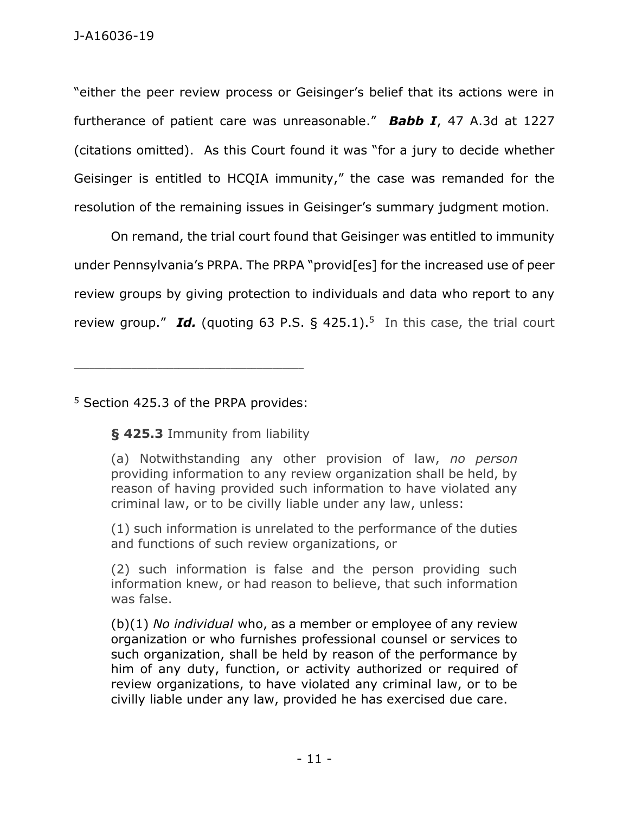"either the peer review process or Geisinger's belief that its actions were in furtherance of patient care was unreasonable." *Babb I*, 47 A.3d at 1227 (citations omitted). As this Court found it was "for a jury to decide whether Geisinger is entitled to HCQIA immunity," the case was remanded for the resolution of the remaining issues in Geisinger's summary judgment motion.

On remand, the trial court found that Geisinger was entitled to immunity under Pennsylvania's PRPA. The PRPA "provid[es] for the increased use of peer review groups by giving protection to individuals and data who report to any review group." Id. (quoting [63 P.S. § 425.1\)](https://1.next.westlaw.com/Link/Document/FullText?findType=L&pubNum=1000262&cite=PS63S425.1&originatingDoc=I52b3af3031d611e888d5f23feb60b681&refType=LQ&originationContext=document&transitionType=DocumentItem&contextData=(sc.Default)).<sup>5</sup> In this case, the trial court

<sup>5</sup> Section 425.3 of the PRPA provides:

**[§ 425.3](https://1.next.westlaw.com/Link/Document/FullText?findType=L&pubNum=1000262&cite=PS63S425.3&originatingDoc=I2f8871e3354f11d98b61a35269fc5f88&refType=LQ&originationContext=document&transitionType=DocumentItem&contextData=(sc.Keycite))** Immunity from liability

(1) such information is unrelated to the performance of the duties and functions of such review organizations, or

(2) such information is false and the person providing such information knew, or had reason to believe, that such information was false.

(b)(1) *No individual* who, as a member or employee of any review organization or who furnishes professional counsel or services to such organization, shall be held by reason of the performance by him of any duty, function, or activity authorized or required of review organizations, to have violated any criminal law, or to be civilly liable under any law, provided he has exercised due care.

<sup>(</sup>a) Notwithstanding any other provision of law, *no person* providing information to any review organization shall be held, by reason of having provided such information to have violated any criminal law, or to be civilly liable under any law, unless: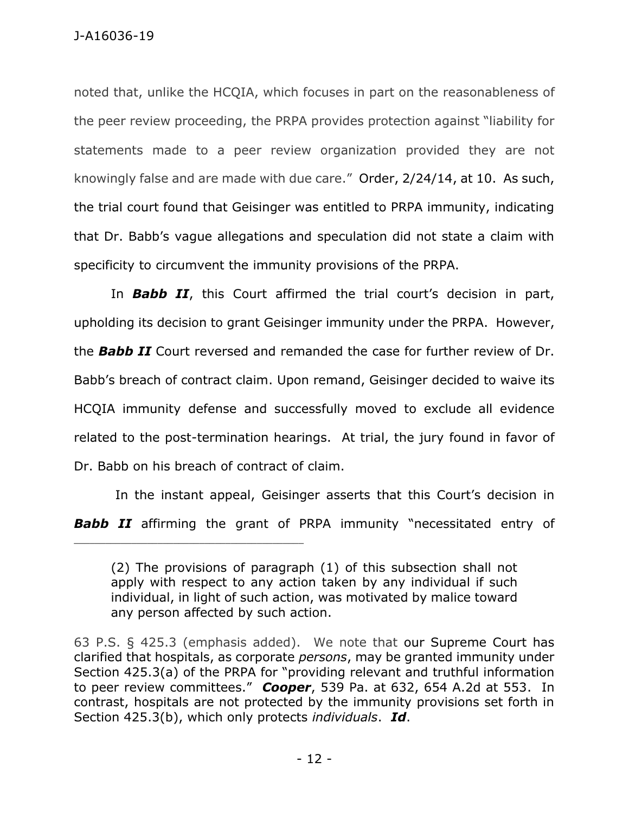noted that, unlike the HCQIA, which focuses in part on the reasonableness of the peer review proceeding, the PRPA provides protection against "liability for statements made to a peer review organization provided they are not knowingly false and are made with due care." Order, 2/24/14, at 10. As such, the trial court found that Geisinger was entitled to PRPA immunity, indicating that Dr. Babb's vague allegations and speculation did not state a claim with specificity to circumvent the immunity provisions of the PRPA.

In *Babb II*, this Court affirmed the trial court's decision in part, upholding its decision to grant Geisinger immunity under the PRPA. However, the *Babb II* Court reversed and remanded the case for further review of Dr. Babb's breach of contract claim. Upon remand, Geisinger decided to waive its HCQIA immunity defense and successfully moved to exclude all evidence related to the post-termination hearings. At trial, the jury found in favor of Dr. Babb on his breach of contract of claim.

In the instant appeal, Geisinger asserts that this Court's decision in

**Babb II** affirming the grant of PRPA immunity "necessitated entry of

<sup>(2)</sup> The provisions of paragraph (1) of this subsection shall not apply with respect to any action taken by any individual if such individual, in light of such action, was motivated by malice toward any person affected by such action.

<sup>63</sup> P.S. § 425.3 (emphasis added). We note that our Supreme Court has clarified that hospitals, as corporate *persons*, may be granted immunity under Section 425.3(a) of the PRPA for "providing relevant and truthful information to peer review committees." *Cooper*, 539 Pa. at 632, 654 A.2d at 553. In contrast, hospitals are not protected by the immunity provisions set forth in Section 425.3(b), which only protects *individuals*. *Id*.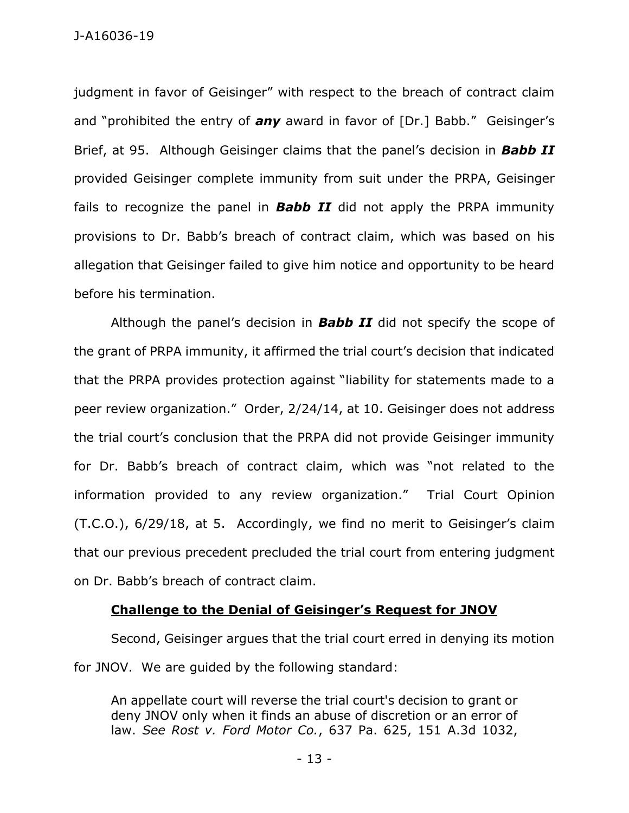J-A16036-19

judgment in favor of Geisinger" with respect to the breach of contract claim and "prohibited the entry of *any* award in favor of [Dr.] Babb." Geisinger's Brief, at 95. Although Geisinger claims that the panel's decision in *Babb II* provided Geisinger complete immunity from suit under the PRPA, Geisinger fails to recognize the panel in *Babb II* did not apply the PRPA immunity provisions to Dr. Babb's breach of contract claim, which was based on his allegation that Geisinger failed to give him notice and opportunity to be heard before his termination.

Although the panel's decision in *Babb II* did not specify the scope of the grant of PRPA immunity, it affirmed the trial court's decision that indicated that the PRPA provides protection against "liability for statements made to a peer review organization." Order, 2/24/14, at 10. Geisinger does not address the trial court's conclusion that the PRPA did not provide Geisinger immunity for Dr. Babb's breach of contract claim, which was "not related to the information provided to any review organization." Trial Court Opinion (T.C.O.), 6/29/18, at 5. Accordingly, we find no merit to Geisinger's claim that our previous precedent precluded the trial court from entering judgment on Dr. Babb's breach of contract claim.

### **Challenge to the Denial of Geisinger's Request for JNOV**

Second, Geisinger argues that the trial court erred in denying its motion for JNOV. We are guided by the following standard:

An appellate court will reverse the trial court's decision to grant or deny JNOV only when it finds an abuse of discretion or an error of law. *See Rost v. Ford Motor Co.*, 637 Pa. 625, 151 A.3d 1032,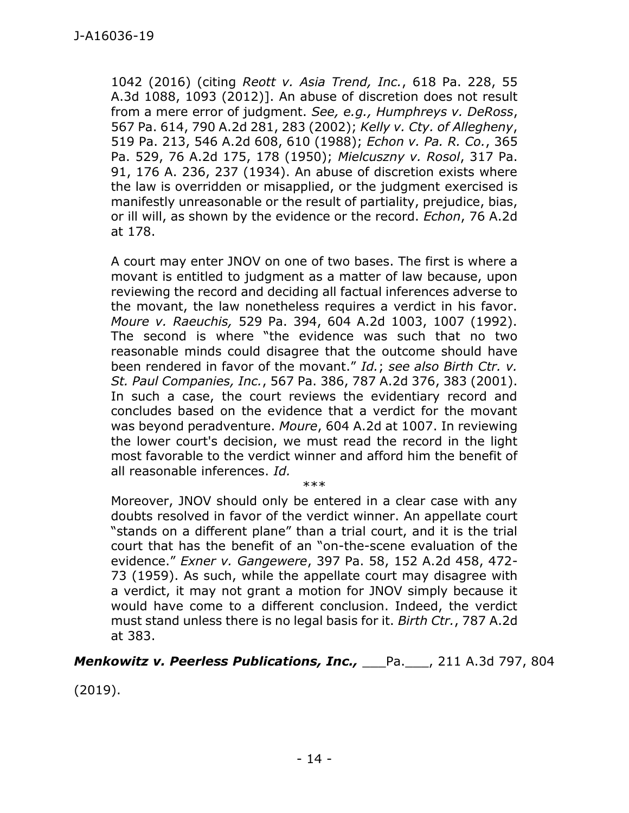1042 (2016) (citing *Reott v. Asia Trend, Inc.*, 618 Pa. 228, 55 A.3d 1088, 1093 (2012)]. An abuse of discretion does not result from a mere error of judgment. *See, e.g., Humphreys v. DeRoss*, 567 Pa. 614, 790 A.2d 281, 283 (2002); *Kelly v. Cty. of Allegheny*, 519 Pa. 213, 546 A.2d 608, 610 (1988); *Echon v. Pa. R. Co.*, 365 Pa. 529, 76 A.2d 175, 178 (1950); *Mielcuszny v. Rosol*, 317 Pa. 91, 176 A. 236, 237 (1934). An abuse of discretion exists where the law is overridden or misapplied, or the judgment exercised is manifestly unreasonable or the result of partiality, prejudice, bias, or ill will, as shown by the evidence or the record. *Echon*, 76 A.2d at 178.

A court may enter JNOV on one of two bases. The first is where a movant is entitled to judgment as a matter of law because, upon reviewing the record and deciding all factual inferences adverse to the movant, the law nonetheless requires a verdict in his favor. *Moure v. Raeuchis,* 529 Pa. 394, 604 A.2d 1003, 1007 (1992). The second is where "the evidence was such that no two reasonable minds could disagree that the outcome should have been rendered in favor of the movant." *Id.*; *see also Birth Ctr. v. St. Paul Companies, Inc.*, 567 Pa. 386, 787 A.2d 376, 383 (2001). In such a case, the court reviews the evidentiary record and concludes based on the evidence that a verdict for the movant was beyond peradventure. *Moure*, 604 A.2d at 1007. In reviewing the lower court's decision, we must read the record in the light most favorable to the verdict winner and afford him the benefit of all reasonable inferences. *Id.*

\*\*\* Moreover, JNOV should only be entered in a clear case with any doubts resolved in favor of the verdict winner. An appellate court "stands on a different plane" than a trial court, and it is the trial court that has the benefit of an "on-the-scene evaluation of the evidence." *Exner v. Gangewere*, 397 Pa. 58, 152 A.2d 458, 472- 73 (1959). As such, while the appellate court may disagree with a verdict, it may not grant a motion for JNOV simply because it would have come to a different conclusion. Indeed, the verdict must stand unless there is no legal basis for it. *Birth Ctr.*, 787 A.2d at 383.

*Menkowitz v. Peerless Publications, Inc.,* \_\_\_Pa.\_\_\_, 211 A.3d 797, 804

(2019).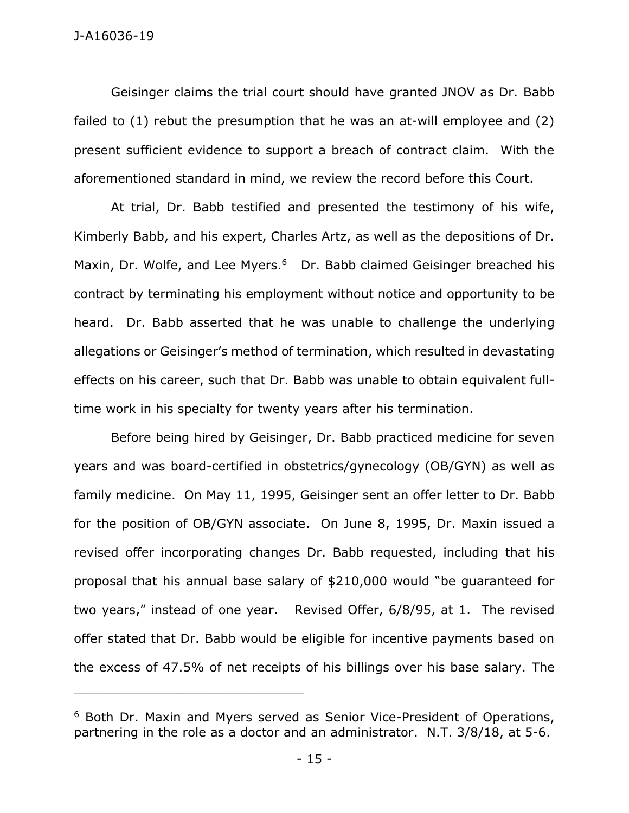Geisinger claims the trial court should have granted JNOV as Dr. Babb failed to (1) rebut the presumption that he was an at-will employee and (2) present sufficient evidence to support a breach of contract claim. With the aforementioned standard in mind, we review the record before this Court.

At trial, Dr. Babb testified and presented the testimony of his wife, Kimberly Babb, and his expert, Charles Artz, as well as the depositions of Dr. Maxin, Dr. Wolfe, and Lee Myers.<sup>6</sup> Dr. Babb claimed Geisinger breached his contract by terminating his employment without notice and opportunity to be heard. Dr. Babb asserted that he was unable to challenge the underlying allegations or Geisinger's method of termination, which resulted in devastating effects on his career, such that Dr. Babb was unable to obtain equivalent fulltime work in his specialty for twenty years after his termination.

Before being hired by Geisinger, Dr. Babb practiced medicine for seven years and was board-certified in obstetrics/gynecology (OB/GYN) as well as family medicine. On May 11, 1995, Geisinger sent an offer letter to Dr. Babb for the position of OB/GYN associate. On June 8, 1995, Dr. Maxin issued a revised offer incorporating changes Dr. Babb requested, including that his proposal that his annual base salary of \$210,000 would "be guaranteed for two years," instead of one year. Revised Offer, 6/8/95, at 1. The revised offer stated that Dr. Babb would be eligible for incentive payments based on the excess of 47.5% of net receipts of his billings over his base salary. The

<sup>6</sup> Both Dr. Maxin and Myers served as Senior Vice-President of Operations, partnering in the role as a doctor and an administrator. N.T. 3/8/18, at 5-6.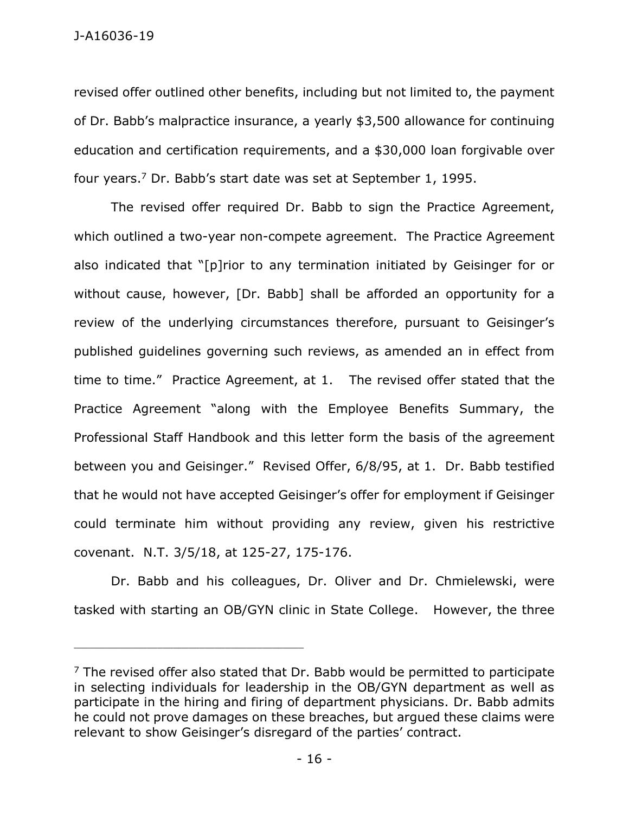revised offer outlined other benefits, including but not limited to, the payment of Dr. Babb's malpractice insurance, a yearly \$3,500 allowance for continuing education and certification requirements, and a \$30,000 loan forgivable over four years. <sup>7</sup> Dr. Babb's start date was set at September 1, 1995.

The revised offer required Dr. Babb to sign the Practice Agreement, which outlined a two-year non-compete agreement. The Practice Agreement also indicated that "[p]rior to any termination initiated by Geisinger for or without cause, however, [Dr. Babb] shall be afforded an opportunity for a review of the underlying circumstances therefore, pursuant to Geisinger's published guidelines governing such reviews, as amended an in effect from time to time." Practice Agreement, at 1. The revised offer stated that the Practice Agreement "along with the Employee Benefits Summary, the Professional Staff Handbook and this letter form the basis of the agreement between you and Geisinger." Revised Offer, 6/8/95, at 1. Dr. Babb testified that he would not have accepted Geisinger's offer for employment if Geisinger could terminate him without providing any review, given his restrictive covenant. N.T. 3/5/18, at 125-27, 175-176.

Dr. Babb and his colleagues, Dr. Oliver and Dr. Chmielewski, were tasked with starting an OB/GYN clinic in State College. However, the three

 $7$  The revised offer also stated that Dr. Babb would be permitted to participate in selecting individuals for leadership in the OB/GYN department as well as participate in the hiring and firing of department physicians. Dr. Babb admits he could not prove damages on these breaches, but argued these claims were relevant to show Geisinger's disregard of the parties' contract.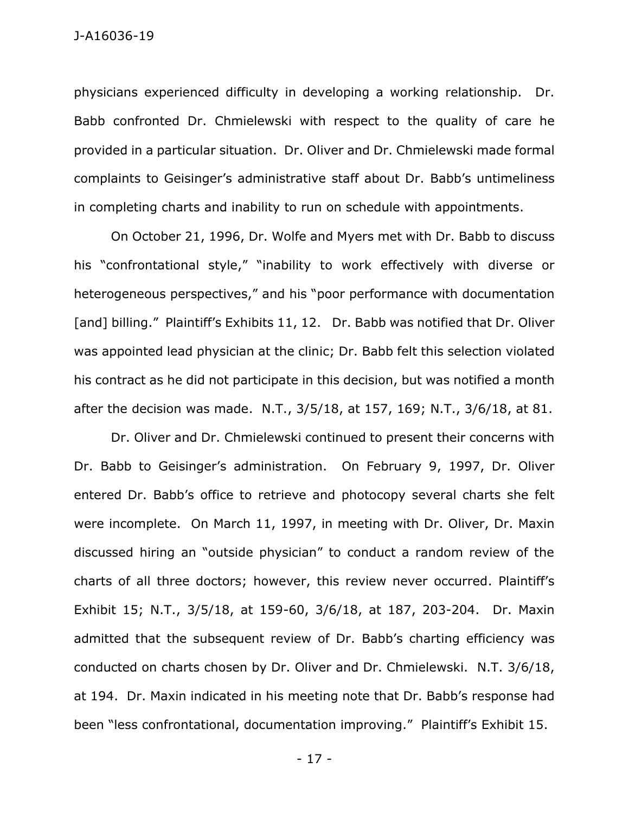physicians experienced difficulty in developing a working relationship. Dr. Babb confronted Dr. Chmielewski with respect to the quality of care he provided in a particular situation. Dr. Oliver and Dr. Chmielewski made formal complaints to Geisinger's administrative staff about Dr. Babb's untimeliness in completing charts and inability to run on schedule with appointments.

On October 21, 1996, Dr. Wolfe and Myers met with Dr. Babb to discuss his "confrontational style," "inability to work effectively with diverse or heterogeneous perspectives," and his "poor performance with documentation [and] billing." Plaintiff's Exhibits 11, 12. Dr. Babb was notified that Dr. Oliver was appointed lead physician at the clinic; Dr. Babb felt this selection violated his contract as he did not participate in this decision, but was notified a month after the decision was made. N.T., 3/5/18, at 157, 169; N.T., 3/6/18, at 81.

Dr. Oliver and Dr. Chmielewski continued to present their concerns with Dr. Babb to Geisinger's administration. On February 9, 1997, Dr. Oliver entered Dr. Babb's office to retrieve and photocopy several charts she felt were incomplete. On March 11, 1997, in meeting with Dr. Oliver, Dr. Maxin discussed hiring an "outside physician" to conduct a random review of the charts of all three doctors; however, this review never occurred. Plaintiff's Exhibit 15; N.T., 3/5/18, at 159-60, 3/6/18, at 187, 203-204. Dr. Maxin admitted that the subsequent review of Dr. Babb's charting efficiency was conducted on charts chosen by Dr. Oliver and Dr. Chmielewski. N.T. 3/6/18, at 194. Dr. Maxin indicated in his meeting note that Dr. Babb's response had been "less confrontational, documentation improving." Plaintiff's Exhibit 15.

- 17 -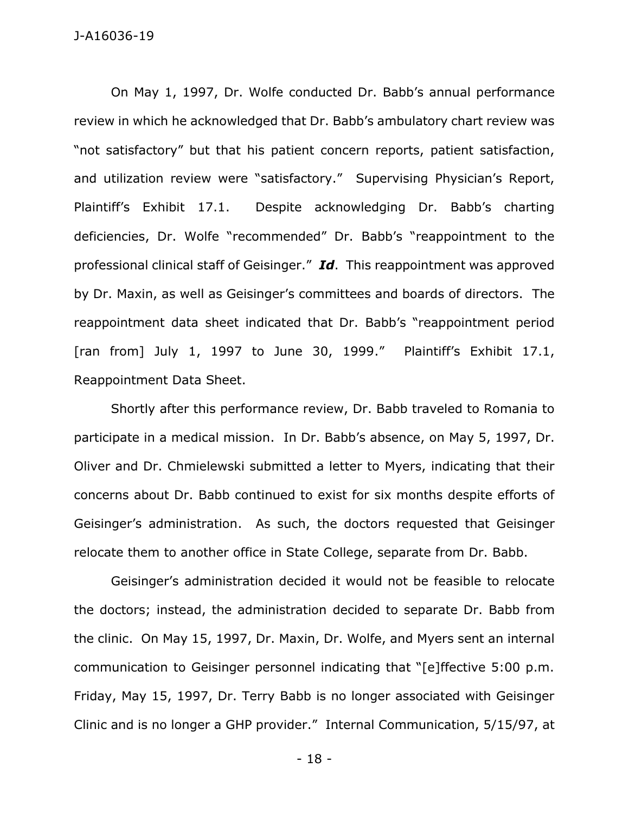J-A16036-19

On May 1, 1997, Dr. Wolfe conducted Dr. Babb's annual performance review in which he acknowledged that Dr. Babb's ambulatory chart review was "not satisfactory" but that his patient concern reports, patient satisfaction, and utilization review were "satisfactory." Supervising Physician's Report, Plaintiff's Exhibit 17.1. Despite acknowledging Dr. Babb's charting deficiencies, Dr. Wolfe "recommended" Dr. Babb's "reappointment to the professional clinical staff of Geisinger." *Id*. This reappointment was approved by Dr. Maxin, as well as Geisinger's committees and boards of directors. The reappointment data sheet indicated that Dr. Babb's "reappointment period [ran from] July 1, 1997 to June 30, 1999." Plaintiff's Exhibit 17.1, Reappointment Data Sheet.

Shortly after this performance review, Dr. Babb traveled to Romania to participate in a medical mission. In Dr. Babb's absence, on May 5, 1997, Dr. Oliver and Dr. Chmielewski submitted a letter to Myers, indicating that their concerns about Dr. Babb continued to exist for six months despite efforts of Geisinger's administration. As such, the doctors requested that Geisinger relocate them to another office in State College, separate from Dr. Babb.

Geisinger's administration decided it would not be feasible to relocate the doctors; instead, the administration decided to separate Dr. Babb from the clinic. On May 15, 1997, Dr. Maxin, Dr. Wolfe, and Myers sent an internal communication to Geisinger personnel indicating that "[e]ffective 5:00 p.m. Friday, May 15, 1997, Dr. Terry Babb is no longer associated with Geisinger Clinic and is no longer a GHP provider." Internal Communication, 5/15/97, at

- 18 -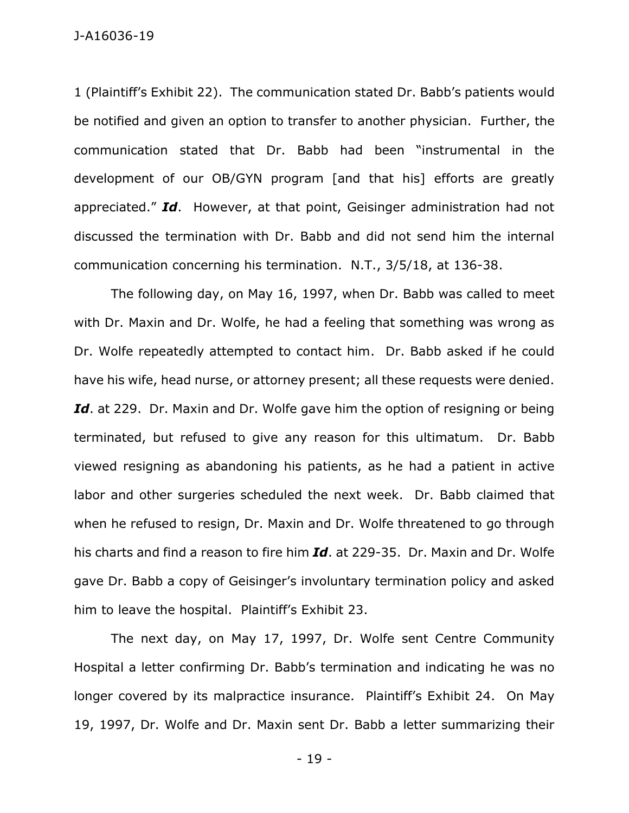J-A16036-19

1 (Plaintiff's Exhibit 22). The communication stated Dr. Babb's patients would be notified and given an option to transfer to another physician. Further, the communication stated that Dr. Babb had been "instrumental in the development of our OB/GYN program [and that his] efforts are greatly appreciated." *Id*. However, at that point, Geisinger administration had not discussed the termination with Dr. Babb and did not send him the internal communication concerning his termination. N.T., 3/5/18, at 136-38.

The following day, on May 16, 1997, when Dr. Babb was called to meet with Dr. Maxin and Dr. Wolfe, he had a feeling that something was wrong as Dr. Wolfe repeatedly attempted to contact him. Dr. Babb asked if he could have his wife, head nurse, or attorney present; all these requests were denied. Id. at 229. Dr. Maxin and Dr. Wolfe gave him the option of resigning or being terminated, but refused to give any reason for this ultimatum. Dr. Babb viewed resigning as abandoning his patients, as he had a patient in active labor and other surgeries scheduled the next week. Dr. Babb claimed that when he refused to resign, Dr. Maxin and Dr. Wolfe threatened to go through his charts and find a reason to fire him *Id*. at 229-35. Dr. Maxin and Dr. Wolfe gave Dr. Babb a copy of Geisinger's involuntary termination policy and asked him to leave the hospital. Plaintiff's Exhibit 23.

The next day, on May 17, 1997, Dr. Wolfe sent Centre Community Hospital a letter confirming Dr. Babb's termination and indicating he was no longer covered by its malpractice insurance. Plaintiff's Exhibit 24. On May 19, 1997, Dr. Wolfe and Dr. Maxin sent Dr. Babb a letter summarizing their

- 19 -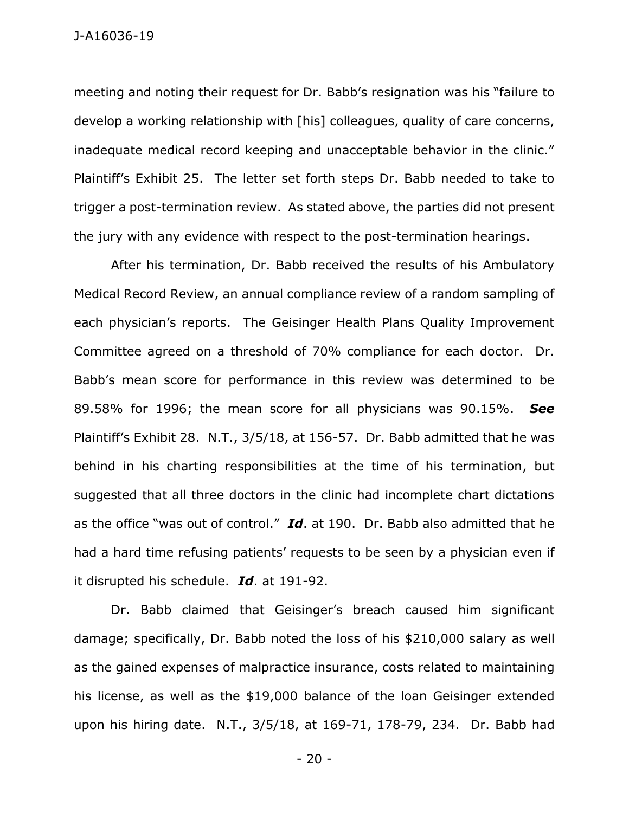meeting and noting their request for Dr. Babb's resignation was his "failure to develop a working relationship with [his] colleagues, quality of care concerns, inadequate medical record keeping and unacceptable behavior in the clinic." Plaintiff's Exhibit 25. The letter set forth steps Dr. Babb needed to take to trigger a post-termination review. As stated above, the parties did not present the jury with any evidence with respect to the post-termination hearings.

After his termination, Dr. Babb received the results of his Ambulatory Medical Record Review, an annual compliance review of a random sampling of each physician's reports. The Geisinger Health Plans Quality Improvement Committee agreed on a threshold of 70% compliance for each doctor. Dr. Babb's mean score for performance in this review was determined to be 89.58% for 1996; the mean score for all physicians was 90.15%. *See* Plaintiff's Exhibit 28. N.T., 3/5/18, at 156-57. Dr. Babb admitted that he was behind in his charting responsibilities at the time of his termination, but suggested that all three doctors in the clinic had incomplete chart dictations as the office "was out of control." *Id*. at 190. Dr. Babb also admitted that he had a hard time refusing patients' requests to be seen by a physician even if it disrupted his schedule. *Id*. at 191-92.

Dr. Babb claimed that Geisinger's breach caused him significant damage; specifically, Dr. Babb noted the loss of his \$210,000 salary as well as the gained expenses of malpractice insurance, costs related to maintaining his license, as well as the \$19,000 balance of the loan Geisinger extended upon his hiring date. N.T., 3/5/18, at 169-71, 178-79, 234. Dr. Babb had

- 20 -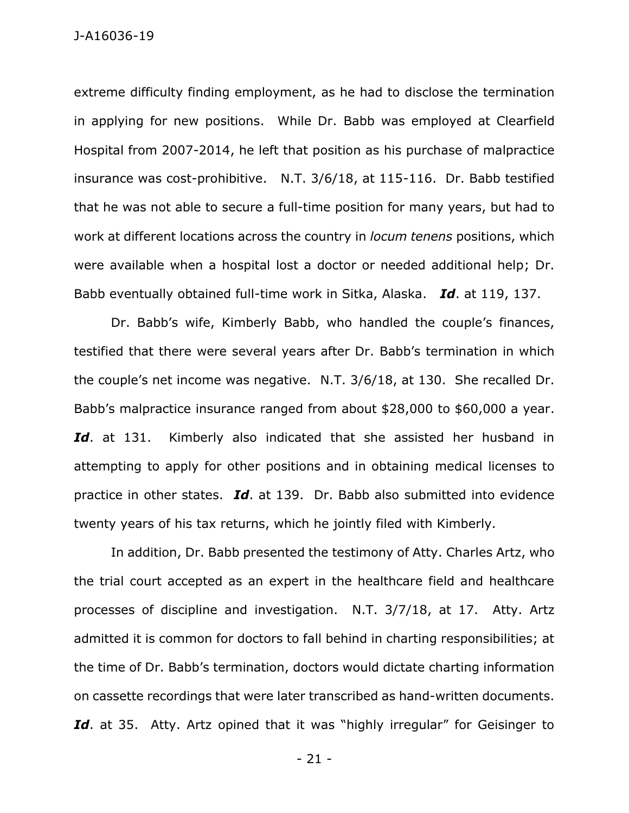J-A16036-19

extreme difficulty finding employment, as he had to disclose the termination in applying for new positions. While Dr. Babb was employed at Clearfield Hospital from 2007-2014, he left that position as his purchase of malpractice insurance was cost-prohibitive. N.T. 3/6/18, at 115-116. Dr. Babb testified that he was not able to secure a full-time position for many years, but had to work at different locations across the country in *locum tenens* positions, which were available when a hospital lost a doctor or needed additional help; Dr. Babb eventually obtained full-time work in Sitka, Alaska. *Id*. at 119, 137.

Dr. Babb's wife, Kimberly Babb, who handled the couple's finances, testified that there were several years after Dr. Babb's termination in which the couple's net income was negative. N.T. 3/6/18, at 130. She recalled Dr. Babb's malpractice insurance ranged from about \$28,000 to \$60,000 a year. Id. at 131. Kimberly also indicated that she assisted her husband in attempting to apply for other positions and in obtaining medical licenses to practice in other states. *Id*. at 139. Dr. Babb also submitted into evidence twenty years of his tax returns, which he jointly filed with Kimberly.

In addition, Dr. Babb presented the testimony of Atty. Charles Artz, who the trial court accepted as an expert in the healthcare field and healthcare processes of discipline and investigation. N.T. 3/7/18, at 17. Atty. Artz admitted it is common for doctors to fall behind in charting responsibilities; at the time of Dr. Babb's termination, doctors would dictate charting information on cassette recordings that were later transcribed as hand-written documents. Id. at 35. Atty. Artz opined that it was "highly irregular" for Geisinger to

- 21 -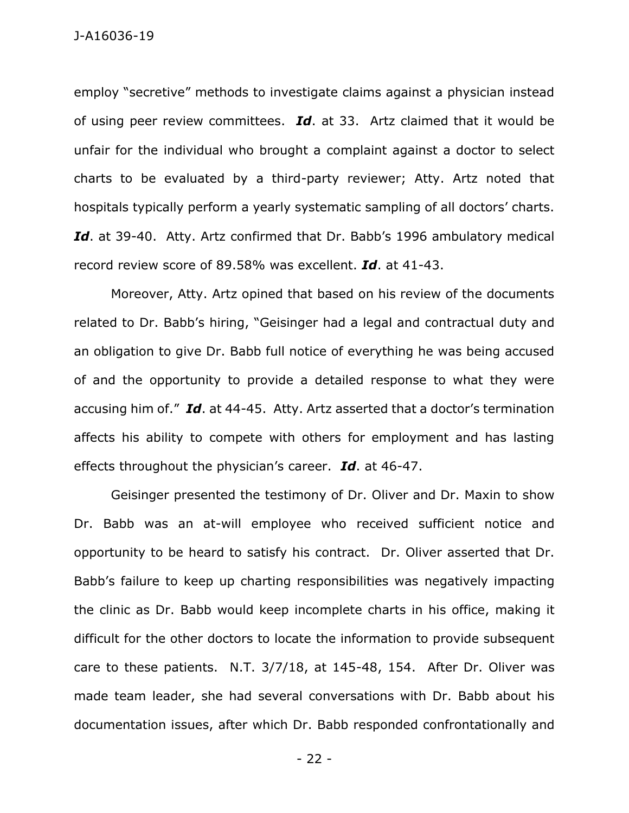employ "secretive" methods to investigate claims against a physician instead of using peer review committees. *Id*. at 33. Artz claimed that it would be unfair for the individual who brought a complaint against a doctor to select charts to be evaluated by a third-party reviewer; Atty. Artz noted that hospitals typically perform a yearly systematic sampling of all doctors' charts. *Id*. at 39-40. Atty. Artz confirmed that Dr. Babb's 1996 ambulatory medical record review score of 89.58% was excellent. *Id*. at 41-43.

Moreover, Atty. Artz opined that based on his review of the documents related to Dr. Babb's hiring, "Geisinger had a legal and contractual duty and an obligation to give Dr. Babb full notice of everything he was being accused of and the opportunity to provide a detailed response to what they were accusing him of." *Id*. at 44-45. Atty. Artz asserted that a doctor's termination affects his ability to compete with others for employment and has lasting effects throughout the physician's career. *Id*. at 46-47.

Geisinger presented the testimony of Dr. Oliver and Dr. Maxin to show Dr. Babb was an at-will employee who received sufficient notice and opportunity to be heard to satisfy his contract. Dr. Oliver asserted that Dr. Babb's failure to keep up charting responsibilities was negatively impacting the clinic as Dr. Babb would keep incomplete charts in his office, making it difficult for the other doctors to locate the information to provide subsequent care to these patients. N.T. 3/7/18, at 145-48, 154. After Dr. Oliver was made team leader, she had several conversations with Dr. Babb about his documentation issues, after which Dr. Babb responded confrontationally and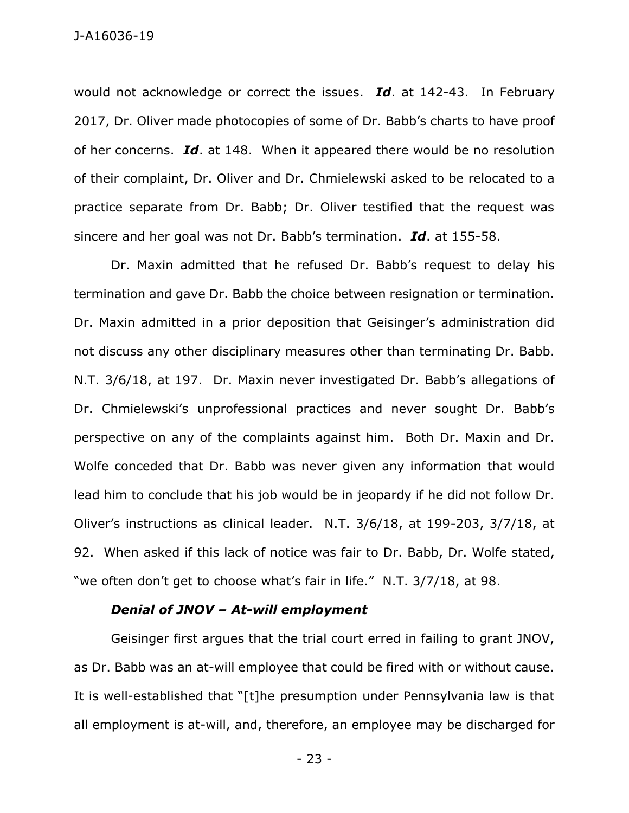would not acknowledge or correct the issues. *Id*. at 142-43. In February 2017, Dr. Oliver made photocopies of some of Dr. Babb's charts to have proof of her concerns. *Id*. at 148. When it appeared there would be no resolution of their complaint, Dr. Oliver and Dr. Chmielewski asked to be relocated to a practice separate from Dr. Babb; Dr. Oliver testified that the request was sincere and her goal was not Dr. Babb's termination. *Id*. at 155-58.

Dr. Maxin admitted that he refused Dr. Babb's request to delay his termination and gave Dr. Babb the choice between resignation or termination. Dr. Maxin admitted in a prior deposition that Geisinger's administration did not discuss any other disciplinary measures other than terminating Dr. Babb. N.T. 3/6/18, at 197. Dr. Maxin never investigated Dr. Babb's allegations of Dr. Chmielewski's unprofessional practices and never sought Dr. Babb's perspective on any of the complaints against him. Both Dr. Maxin and Dr. Wolfe conceded that Dr. Babb was never given any information that would lead him to conclude that his job would be in jeopardy if he did not follow Dr. Oliver's instructions as clinical leader. N.T. 3/6/18, at 199-203, 3/7/18, at 92. When asked if this lack of notice was fair to Dr. Babb, Dr. Wolfe stated, "we often don't get to choose what's fair in life." N.T. 3/7/18, at 98.

## *Denial of JNOV – At-will employment*

Geisinger first argues that the trial court erred in failing to grant JNOV, as Dr. Babb was an at-will employee that could be fired with or without cause. It is well-established that "[t]he presumption under Pennsylvania law is that all employment is at-will, and, therefore, an employee may be discharged for

- 23 -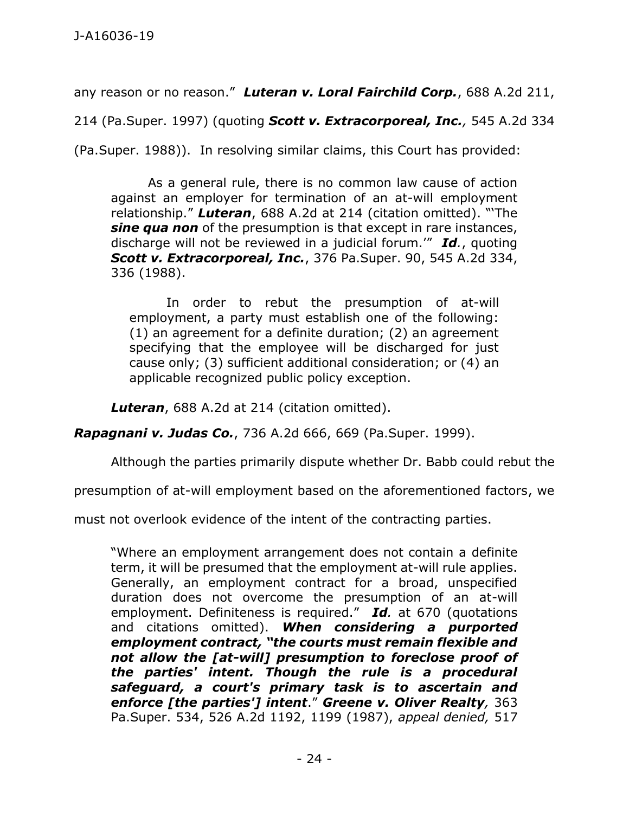any reason or no reason." *Luteran v. Loral Fairchild Corp.*, 688 A.2d 211,

214 (Pa.Super. 1997) (quoting *Scott v. Extracorporeal, Inc.,* 545 A.2d 334

(Pa.Super. 1988)). In resolving similar claims, this Court has provided:

As a general rule, there is no common law cause of action against an employer for termination of an at-will employment relationship." *Luteran*[, 688 A.2d at 214](https://1.next.westlaw.com/Link/Document/FullText?findType=Y&serNum=1997040394&pubNum=0000162&originatingDoc=I1c1ecb64372811d98b61a35269fc5f88&refType=RP&fi=co_pp_sp_162_214&originationContext=document&transitionType=DocumentItem&contextData=(sc.UserEnteredCitation)#co_pp_sp_162_214) (citation omitted). "'The *sine qua non* of the presumption is that except in rare instances, discharge will not be reviewed in a judicial forum.'" *Id.*, quoting *Scott v. Extracorporeal, Inc.*[, 376 Pa.Super. 90, 545 A.2d 334,](https://1.next.westlaw.com/Link/Document/FullText?findType=Y&serNum=1988090174&pubNum=0000162&originatingDoc=I1c1ecb64372811d98b61a35269fc5f88&refType=RP&fi=co_pp_sp_162_336&originationContext=document&transitionType=DocumentItem&contextData=(sc.UserEnteredCitation)#co_pp_sp_162_336)  [336 \(1988\).](https://1.next.westlaw.com/Link/Document/FullText?findType=Y&serNum=1988090174&pubNum=0000162&originatingDoc=I1c1ecb64372811d98b61a35269fc5f88&refType=RP&fi=co_pp_sp_162_336&originationContext=document&transitionType=DocumentItem&contextData=(sc.UserEnteredCitation)#co_pp_sp_162_336)

In order to rebut the presumption of at-will employment, a party must establish one of the following: (1) an agreement for a definite duration; (2) an agreement specifying that the employee will be discharged for just cause only; (3) sufficient additional consideration; or (4) an applicable recognized public policy exception.

*Luteran*[, 688 A.2d at 214](https://1.next.westlaw.com/Link/Document/FullText?findType=Y&serNum=1997040394&pubNum=0000162&originatingDoc=I1c1ecb64372811d98b61a35269fc5f88&refType=RP&fi=co_pp_sp_162_214&originationContext=document&transitionType=DocumentItem&contextData=(sc.UserEnteredCitation)#co_pp_sp_162_214) (citation omitted).

*Rapagnani v. Judas Co.*, 736 A.2d 666, 669 (Pa.Super. 1999).

Although the parties primarily dispute whether Dr. Babb could rebut the

presumption of at-will employment based on the aforementioned factors, we

must not overlook evidence of the intent of the contracting parties.

"Where an employment arrangement does not contain a definite term, it will be presumed that the employment at-will rule applies. Generally, an employment contract for a broad, unspecified duration does not overcome the presumption of an at-will employment. Definiteness is required." *Id.* at 670 (quotations and citations omitted). *When considering a purported employment contract, "the courts must remain flexible and not allow the [at-will] presumption to foreclose proof of the parties' intent. Though the rule is a procedural safeguard, a court's primary task is to ascertain and enforce [the parties'] intent*." *Greene v. Oliver Realty,* 363 Pa.Super. 534, 526 A.2d 1192, 1199 (1987), *appeal denied,* 517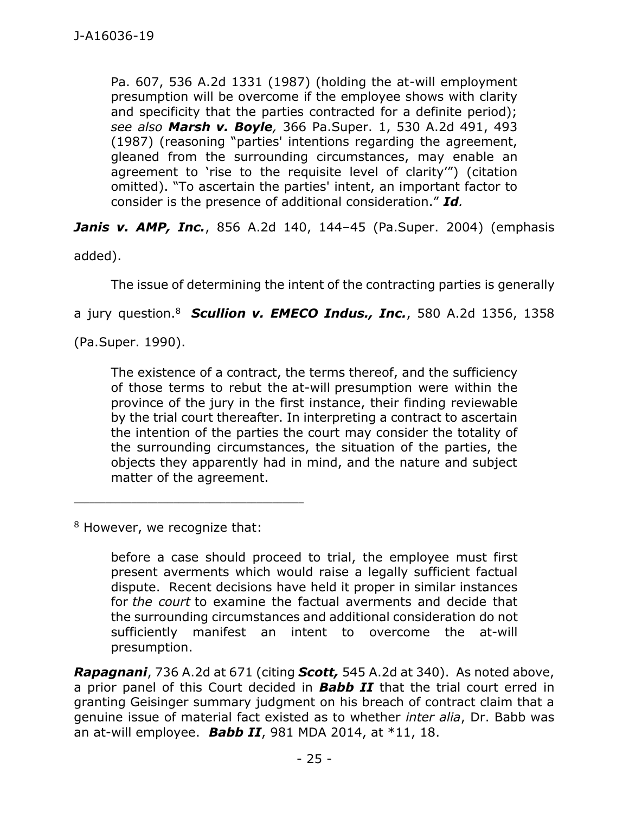Pa. 607, 536 A.2d 1331 (1987) (holding the at-will employment presumption will be overcome if the employee shows with clarity and specificity that the parties contracted for a definite period); *see also Marsh v. Boyle,* 366 Pa.Super. 1, 530 A.2d 491, 493 (1987) (reasoning "parties' intentions regarding the agreement, gleaned from the surrounding circumstances, may enable an agreement to 'rise to the requisite level of clarity'") (citation omitted). "To ascertain the parties' intent, an important factor to consider is the presence of additional consideration." *Id.*

*Janis v. AMP, Inc.*, 856 A.2d 140, 144–45 (Pa.Super. 2004) (emphasis

added).

The issue of determining the intent of the contracting parties is generally

a jury question. <sup>8</sup> *Scullion v. EMECO Indus., Inc.*, 580 A.2d 1356, 1358

(Pa.Super. 1990).

The existence of a contract, the terms thereof, and the sufficiency of those terms to rebut the at-will presumption were within the province of the jury in the first instance, their finding reviewable by the trial court thereafter. In interpreting a contract to ascertain the intention of the parties the court may consider the totality of the surrounding circumstances, the situation of the parties, the objects they apparently had in mind, and the nature and subject matter of the agreement.

<sup>8</sup> However, we recognize that:

before a case should proceed to trial, the employee must first present averments which would raise a legally sufficient factual dispute. Recent decisions have held it proper in similar instances for *the court* to examine the factual averments and decide that the surrounding circumstances and additional consideration do not sufficiently manifest an intent to overcome the at-will presumption.

*Rapagnani*, 736 A.2d at 671 (citing *Scott,* 545 A.2d at 340). As noted above, a prior panel of this Court decided in *Babb II* that the trial court erred in granting Geisinger summary judgment on his breach of contract claim that a genuine issue of material fact existed as to whether *inter alia*, Dr. Babb was an at-will employee. *Babb II*, 981 MDA 2014, at \*11, 18.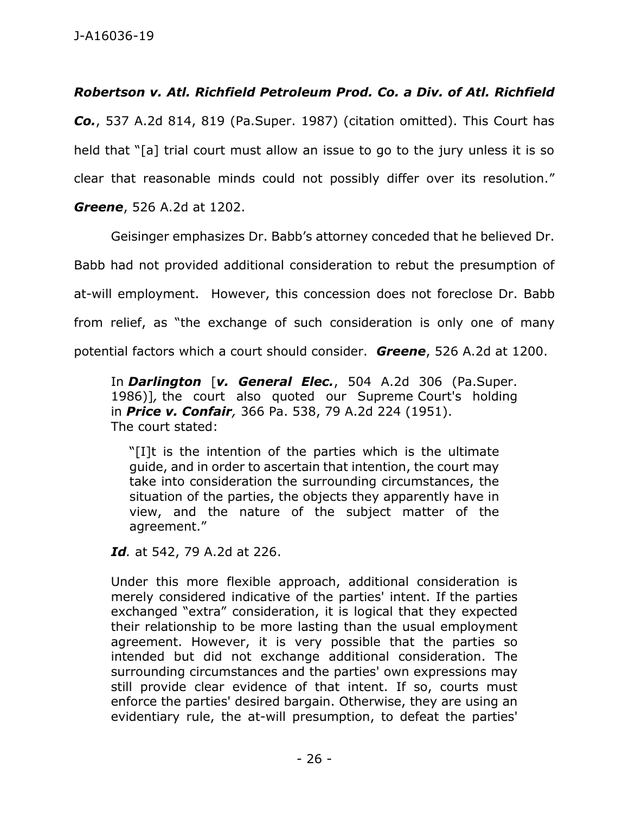# *Robertson v. Atl. Richfield Petroleum Prod. Co. a Div. of Atl. Richfield*

*Co.*, 537 A.2d 814, 819 (Pa.Super. 1987) (citation omitted). This Court has held that "[a] trial court must allow an issue to go to the jury unless it is so clear that reasonable minds could not possibly differ over its resolution."

*Greene*, 526 A.2d at 1202.

Geisinger emphasizes Dr. Babb's attorney conceded that he believed Dr. Babb had not provided additional consideration to rebut the presumption of at-will employment. However, this concession does not foreclose Dr. Babb from relief, as "the exchange of such consideration is only one of many potential factors which a court should consider. *Greene*, 526 A.2d at 1200.

In *Darlington* [*v. General Elec.*, 504 A.2d 306 (Pa.Super. 1986)]*,* the court also quoted our Supreme Court's holding in *Price v. Confair,* 366 Pa. 538, 79 A.2d 224 (1951). The court stated:

"[I]t is the intention of the parties which is the ultimate guide, and in order to ascertain that intention, the court may take into consideration the surrounding circumstances, the situation of the parties, the objects they apparently have in view, and the nature of the subject matter of the agreement."

*Id.* at 542, 79 A.2d at 226.

Under this more flexible approach, additional consideration is merely considered indicative of the parties' intent. If the parties exchanged "extra" consideration, it is logical that they expected their relationship to be more lasting than the usual employment agreement. However, it is very possible that the parties so intended but did not exchange additional consideration. The surrounding circumstances and the parties' own expressions may still provide clear evidence of that intent. If so, courts must enforce the parties' desired bargain. Otherwise, they are using an evidentiary rule, the at-will presumption, to defeat the parties'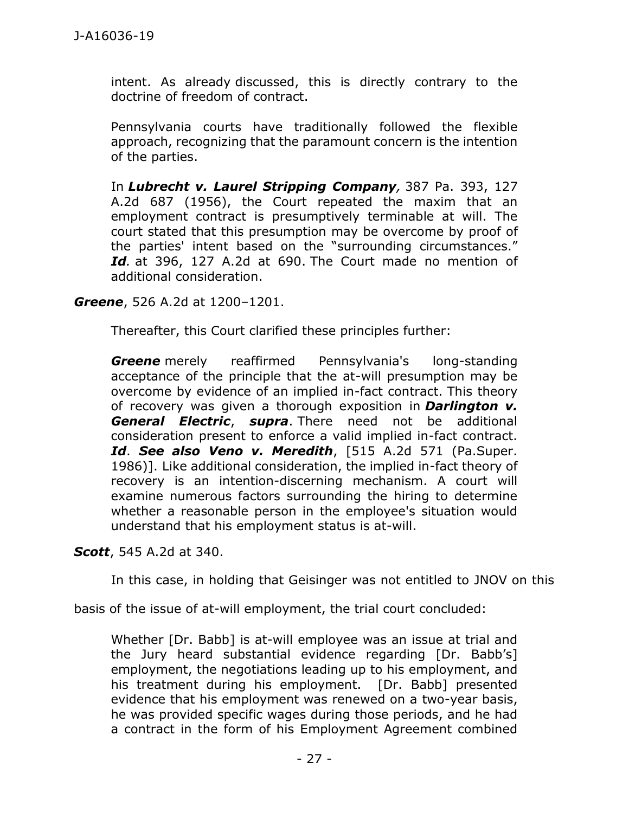intent. As already discussed, this is directly contrary to the doctrine of freedom of contract.

Pennsylvania courts have traditionally followed the flexible approach, recognizing that the paramount concern is the intention of the parties.

In *Lubrecht v. Laurel Stripping Company,* 387 Pa. 393, 127 A.2d 687 (1956), the Court repeated the maxim that an employment contract is presumptively terminable at will. The court stated that this presumption may be overcome by proof of the parties' intent based on the "surrounding circumstances." *Id.* at 396, 127 A.2d at 690. The Court made no mention of additional consideration.

*Greene*, 526 A.2d at 1200–1201.

Thereafter, this Court clarified these principles further:

*Greene* merely reaffirmed Pennsylvania's long-standing acceptance of the principle that the at-will presumption may be overcome by evidence of an implied in-fact contract. This theory of recovery was given a thorough exposition in *Darlington v. General Electric*, *supra*. There need not be additional consideration present to enforce a valid implied in-fact contract. *Id*. *See also Veno v. Meredith*, [515 A.2d 571 (Pa.Super. 1986)]. Like additional consideration, the implied in-fact theory of recovery is an intention-discerning mechanism. A court will examine numerous factors surrounding the hiring to determine whether a reasonable person in the employee's situation would understand that his employment status is at-will.

*Scott*, 545 A.2d at 340.

In this case, in holding that Geisinger was not entitled to JNOV on this

basis of the issue of at-will employment, the trial court concluded:

Whether [Dr. Babb] is at-will employee was an issue at trial and the Jury heard substantial evidence regarding [Dr. Babb's] employment, the negotiations leading up to his employment, and his treatment during his employment. [Dr. Babb] presented evidence that his employment was renewed on a two-year basis, he was provided specific wages during those periods, and he had a contract in the form of his Employment Agreement combined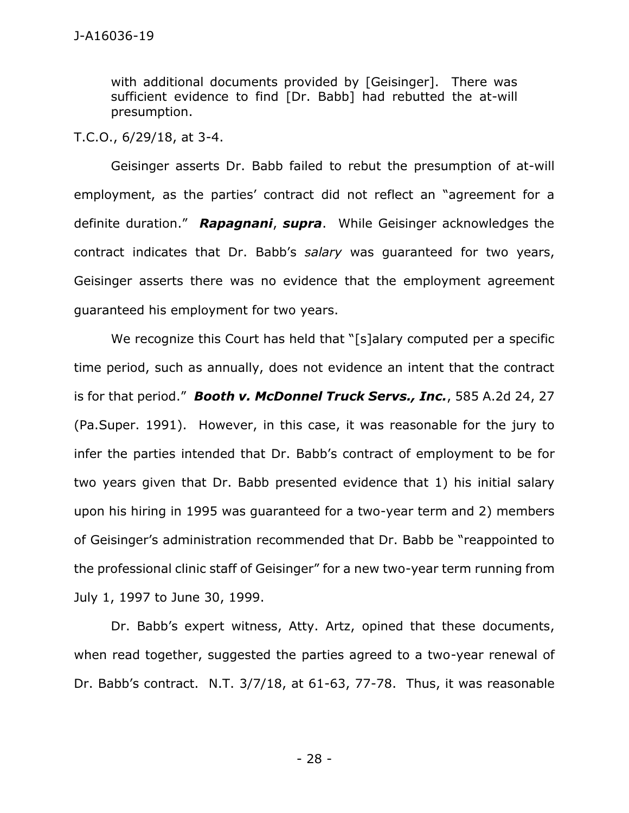with additional documents provided by [Geisinger]. There was sufficient evidence to find [Dr. Babb] had rebutted the at-will presumption.

T.C.O., 6/29/18, at 3-4.

Geisinger asserts Dr. Babb failed to rebut the presumption of at-will employment, as the parties' contract did not reflect an "agreement for a definite duration." *Rapagnani*, *supra*. While Geisinger acknowledges the contract indicates that Dr. Babb's *salary* was guaranteed for two years, Geisinger asserts there was no evidence that the employment agreement guaranteed his employment for two years.

We recognize this Court has held that "[s]alary computed per a specific time period, such as annually, does not evidence an intent that the contract is for that period." *Booth v. McDonnel Truck Servs., Inc.*, 585 A.2d 24, 27 (Pa.Super. 1991). However, in this case, it was reasonable for the jury to infer the parties intended that Dr. Babb's contract of employment to be for two years given that Dr. Babb presented evidence that 1) his initial salary upon his hiring in 1995 was guaranteed for a two-year term and 2) members of Geisinger's administration recommended that Dr. Babb be "reappointed to the professional clinic staff of Geisinger" for a new two-year term running from July 1, 1997 to June 30, 1999.

Dr. Babb's expert witness, Atty. Artz, opined that these documents, when read together, suggested the parties agreed to a two-year renewal of Dr. Babb's contract. N.T. 3/7/18, at 61-63, 77-78. Thus, it was reasonable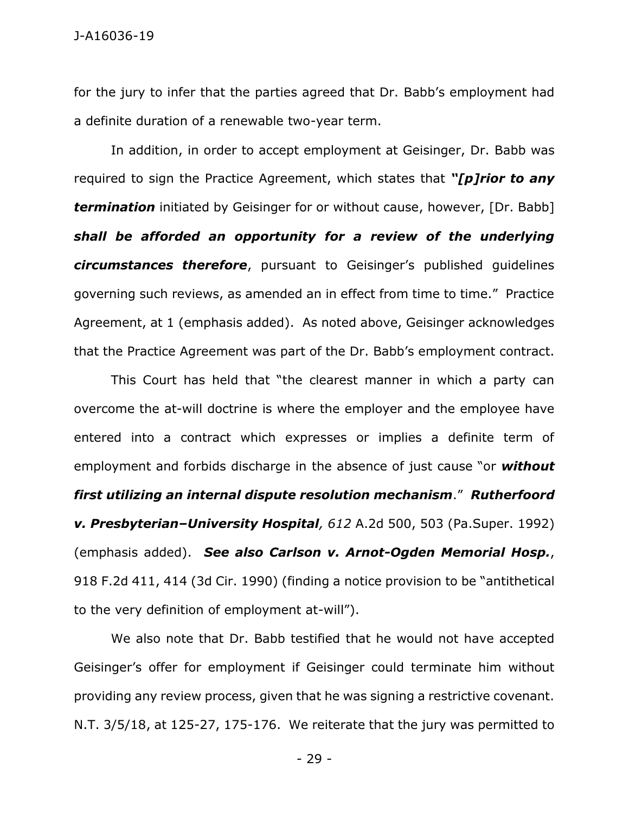for the jury to infer that the parties agreed that Dr. Babb's employment had a definite duration of a renewable two-year term.

In addition, in order to accept employment at Geisinger, Dr. Babb was required to sign the Practice Agreement, which states that *"[p]rior to any termination* initiated by Geisinger for or without cause, however, [Dr. Babb] *shall be afforded an opportunity for a review of the underlying circumstances therefore*, pursuant to Geisinger's published guidelines governing such reviews, as amended an in effect from time to time." Practice Agreement, at 1 (emphasis added). As noted above, Geisinger acknowledges that the Practice Agreement was part of the Dr. Babb's employment contract.

This Court has held that "the clearest manner in which a party can overcome the at-will doctrine is where the employer and the employee have entered into a contract which expresses or implies a definite term of employment and forbids discharge in the absence of just cause "or *without first utilizing an internal dispute resolution mechanism*." *Rutherfoord v. Presbyterian–University Hospital, 612* A.2d 500, 503 (Pa.Super. 1992) (emphasis added). *See also Carlson v. Arnot-Ogden Memorial Hosp.*, 918 F.2d 411, 414 (3d Cir. 1990) (finding a notice provision to be "antithetical to the very definition of employment at-will").

We also note that Dr. Babb testified that he would not have accepted Geisinger's offer for employment if Geisinger could terminate him without providing any review process, given that he was signing a restrictive covenant. N.T. 3/5/18, at 125-27, 175-176. We reiterate that the jury was permitted to

- 29 -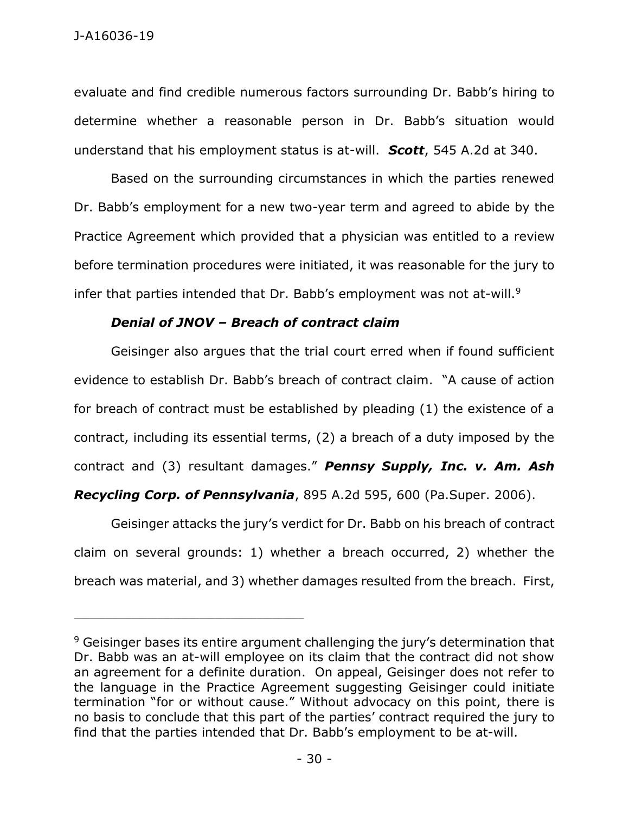evaluate and find credible numerous factors surrounding Dr. Babb's hiring to determine whether a reasonable person in Dr. Babb's situation would understand that his employment status is at-will. *Scott*, 545 A.2d at 340.

Based on the surrounding circumstances in which the parties renewed Dr. Babb's employment for a new two-year term and agreed to abide by the Practice Agreement which provided that a physician was entitled to a review before termination procedures were initiated, it was reasonable for the jury to infer that parties intended that Dr. Babb's employment was not at-will. $9$ 

# *Denial of JNOV – Breach of contract claim*

\_\_\_\_\_\_\_\_\_\_\_\_\_\_\_\_\_\_\_\_\_\_\_\_\_\_\_\_\_\_\_\_\_\_\_\_\_\_\_\_\_\_\_\_

Geisinger also argues that the trial court erred when if found sufficient evidence to establish Dr. Babb's breach of contract claim. "A cause of action for breach of contract must be established by pleading (1) the existence of a contract, including its essential terms, (2) a breach of a duty imposed by the contract and (3) resultant damages." *Pennsy Supply, Inc. v. Am. Ash* 

*Recycling Corp. of Pennsylvania*, 895 A.2d 595, 600 (Pa.Super. 2006).

Geisinger attacks the jury's verdict for Dr. Babb on his breach of contract claim on several grounds: 1) whether a breach occurred, 2) whether the breach was material, and 3) whether damages resulted from the breach. First,

<sup>&</sup>lt;sup>9</sup> Geisinger bases its entire argument challenging the jury's determination that Dr. Babb was an at-will employee on its claim that the contract did not show an agreement for a definite duration. On appeal, Geisinger does not refer to the language in the Practice Agreement suggesting Geisinger could initiate termination "for or without cause." Without advocacy on this point, there is no basis to conclude that this part of the parties' contract required the jury to find that the parties intended that Dr. Babb's employment to be at-will.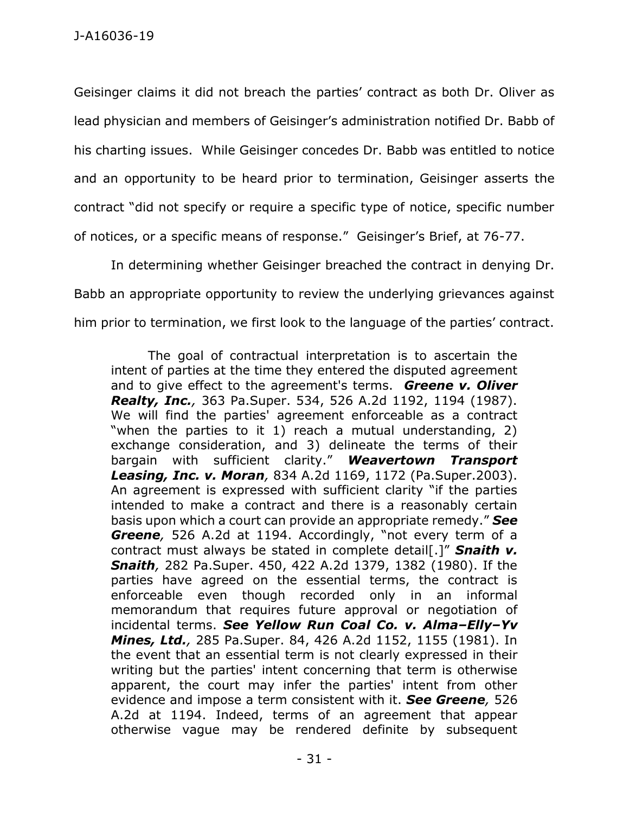Geisinger claims it did not breach the parties' contract as both Dr. Oliver as lead physician and members of Geisinger's administration notified Dr. Babb of his charting issues. While Geisinger concedes Dr. Babb was entitled to notice and an opportunity to be heard prior to termination, Geisinger asserts the contract "did not specify or require a specific type of notice, specific number of notices, or a specific means of response." Geisinger's Brief, at 76-77.

In determining whether Geisinger breached the contract in denying Dr. Babb an appropriate opportunity to review the underlying grievances against him prior to termination, we first look to the language of the parties' contract.

The goal of contractual interpretation is to ascertain the intent of parties at the time they entered the disputed agreement and to give effect to the agreement's terms. *Greene v. Oliver Realty, Inc.,* 363 Pa.Super. 534, 526 A.2d 1192, 1194 (1987). We will find the parties' agreement enforceable as a contract "when the parties to it 1) reach a mutual understanding, 2) exchange consideration, and 3) delineate the terms of their bargain with sufficient clarity." *Weavertown Transport Leasing, Inc. v. Moran,* 834 A.2d 1169, 1172 (Pa.Super.2003). An agreement is expressed with sufficient clarity "if the parties intended to make a contract and there is a reasonably certain basis upon which a court can provide an appropriate remedy." *See Greene,* 526 A.2d at 1194. Accordingly, "not every term of a contract must always be stated in complete detail[.]" *Snaith v. Snaith,* 282 Pa.Super. 450, 422 A.2d 1379, 1382 (1980). If the parties have agreed on the essential terms, the contract is enforceable even though recorded only in an informal memorandum that requires future approval or negotiation of incidental terms. *See Yellow Run Coal Co. v. Alma–Elly–Yv Mines, Ltd.,* 285 Pa.Super. 84, 426 A.2d 1152, 1155 (1981). In the event that an essential term is not clearly expressed in their writing but the parties' intent concerning that term is otherwise apparent, the court may infer the parties' intent from other evidence and impose a term consistent with it. *See Greene,* 526 A.2d at 1194. Indeed, terms of an agreement that appear otherwise vague may be rendered definite by subsequent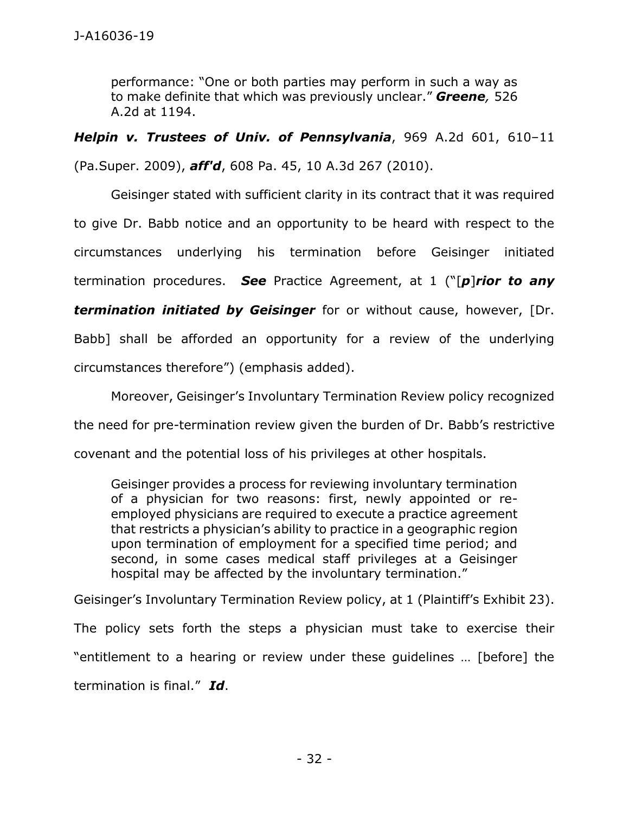performance: "One or both parties may perform in such a way as to make definite that which was previously unclear." *Greene,* 526 A.2d at 1194.

*Helpin v. Trustees of Univ. of Pennsylvania*, 969 A.2d 601, 610–11

(Pa.Super. 2009), *aff'd*, 608 Pa. 45, 10 A.3d 267 (2010).

Geisinger stated with sufficient clarity in its contract that it was required to give Dr. Babb notice and an opportunity to be heard with respect to the circumstances underlying his termination before Geisinger initiated termination procedures. *See* Practice Agreement, at 1 ("[*p*]*rior to any termination initiated by Geisinger* for or without cause, however, [Dr. Babb] shall be afforded an opportunity for a review of the underlying circumstances therefore") (emphasis added).

Moreover, Geisinger's Involuntary Termination Review policy recognized the need for pre-termination review given the burden of Dr. Babb's restrictive covenant and the potential loss of his privileges at other hospitals.

Geisinger provides a process for reviewing involuntary termination of a physician for two reasons: first, newly appointed or reemployed physicians are required to execute a practice agreement that restricts a physician's ability to practice in a geographic region upon termination of employment for a specified time period; and second, in some cases medical staff privileges at a Geisinger hospital may be affected by the involuntary termination."

Geisinger's Involuntary Termination Review policy, at 1 (Plaintiff's Exhibit 23).

The policy sets forth the steps a physician must take to exercise their "entitlement to a hearing or review under these guidelines … [before] the termination is final." *Id*.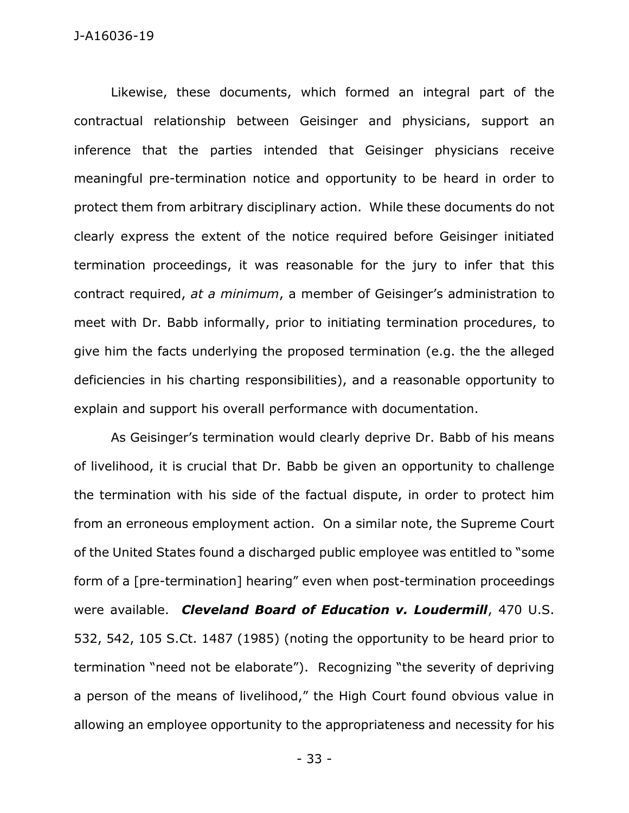Likewise, these documents, which formed an integral part of the contractual relationship between Geisinger and physicians, support an inference that the parties intended that Geisinger physicians receive meaningful pre-termination notice and opportunity to be heard in order to protect them from arbitrary disciplinary action. While these documents do not clearly express the extent of the notice required before Geisinger initiated termination proceedings, it was reasonable for the jury to infer that this contract required, *at a minimum*, a member of Geisinger's administration to meet with Dr. Babb informally, prior to initiating termination procedures, to give him the facts underlying the proposed termination (e.g. the the alleged deficiencies in his charting responsibilities), and a reasonable opportunity to explain and support his overall performance with documentation.

As Geisinger's termination would clearly deprive Dr. Babb of his means of livelihood, it is crucial that Dr. Babb be given an opportunity to challenge the termination with his side of the factual dispute, in order to protect him from an erroneous employment action. On a similar note, the Supreme Court of the United States found a discharged public employee was entitled to "some form of a [pre-termination] hearing" even when post-termination proceedings were available. *Cleveland Board of Education v. Loudermill*, 470 U.S. 532, 542, 105 S.Ct. 1487 (1985) (noting the opportunity to be heard prior to termination "need not be elaborate"). Recognizing "the severity of depriving a person of the means of livelihood," the High Court found obvious value in allowing an employee opportunity to the appropriateness and necessity for his

- 33 -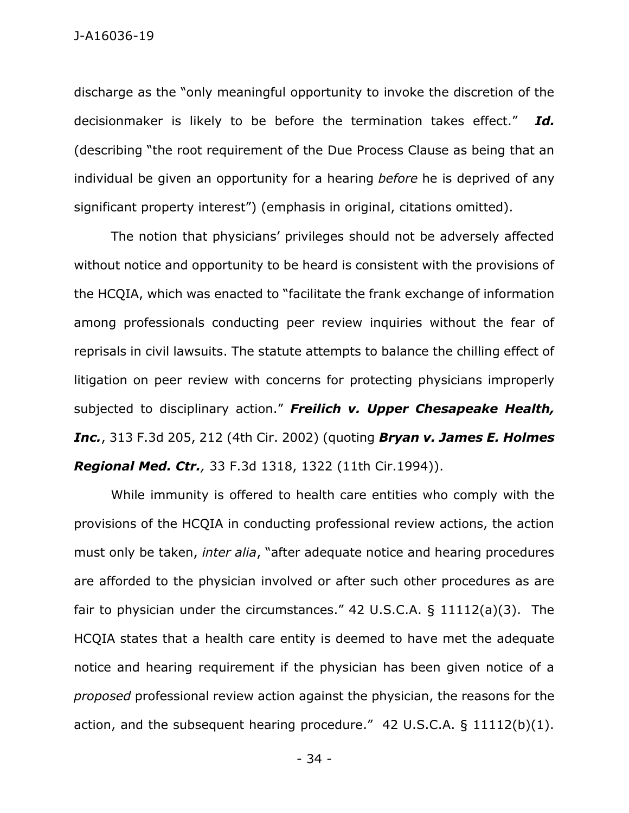discharge as the "only meaningful opportunity to invoke the discretion of the decisionmaker is likely to be before the termination takes effect." *Id.*  (describing "the root requirement of the Due Process Clause as being that an individual be given an opportunity for a hearing *before* he is deprived of any significant property interest") (emphasis in original, citations omitted).

The notion that physicians' privileges should not be adversely affected without notice and opportunity to be heard is consistent with the provisions of the HCQIA, which was enacted to "facilitate the frank exchange of information among professionals conducting peer review inquiries without the fear of reprisals in civil lawsuits. The statute attempts to balance the chilling effect of litigation on peer review with concerns for protecting physicians improperly subjected to disciplinary action." *Freilich v. Upper Chesapeake Health, Inc.*, 313 F.3d 205, 212 (4th Cir. 2002) (quoting *Bryan v. James E. Holmes Regional Med. Ctr.,* 33 F.3d 1318, 1322 (11th Cir.1994)).

While immunity is offered to health care entities who comply with the provisions of the HCQIA in conducting professional review actions, the action must only be taken, *inter alia*, "after adequate notice and hearing procedures are afforded to the physician involved or after such other procedures as are fair to physician under the circumstances." 42 U.S.C.A. § 11112(a)(3). The HCQIA states that a health care entity is deemed to have met the adequate notice and hearing requirement if the physician has been given notice of a *proposed* professional review action against the physician, the reasons for the action, and the subsequent hearing procedure." 42 U.S.C.A. § 11112(b)(1).

- 34 -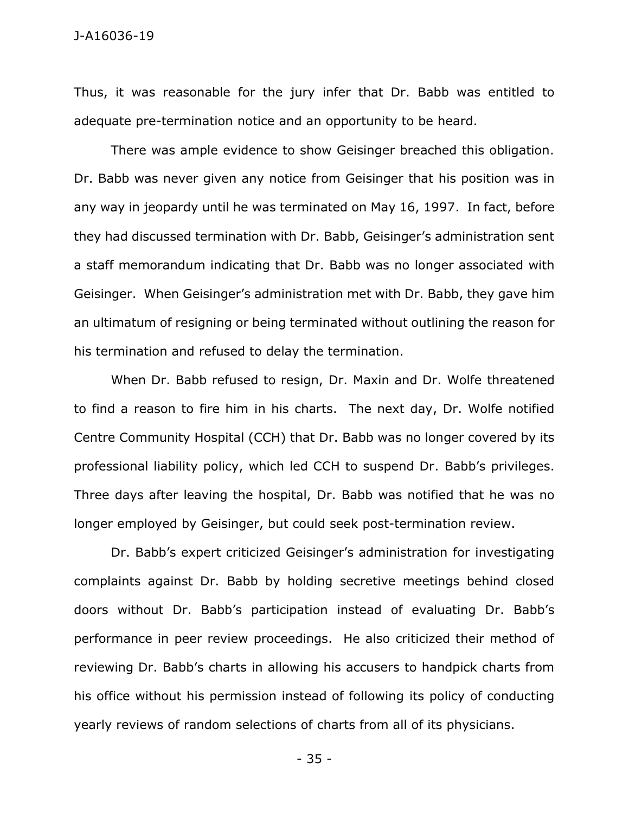Thus, it was reasonable for the jury infer that Dr. Babb was entitled to adequate pre-termination notice and an opportunity to be heard.

There was ample evidence to show Geisinger breached this obligation. Dr. Babb was never given any notice from Geisinger that his position was in any way in jeopardy until he was terminated on May 16, 1997. In fact, before they had discussed termination with Dr. Babb, Geisinger's administration sent a staff memorandum indicating that Dr. Babb was no longer associated with Geisinger. When Geisinger's administration met with Dr. Babb, they gave him an ultimatum of resigning or being terminated without outlining the reason for his termination and refused to delay the termination.

When Dr. Babb refused to resign, Dr. Maxin and Dr. Wolfe threatened to find a reason to fire him in his charts. The next day, Dr. Wolfe notified Centre Community Hospital (CCH) that Dr. Babb was no longer covered by its professional liability policy, which led CCH to suspend Dr. Babb's privileges. Three days after leaving the hospital, Dr. Babb was notified that he was no longer employed by Geisinger, but could seek post-termination review.

Dr. Babb's expert criticized Geisinger's administration for investigating complaints against Dr. Babb by holding secretive meetings behind closed doors without Dr. Babb's participation instead of evaluating Dr. Babb's performance in peer review proceedings. He also criticized their method of reviewing Dr. Babb's charts in allowing his accusers to handpick charts from his office without his permission instead of following its policy of conducting yearly reviews of random selections of charts from all of its physicians.

- 35 -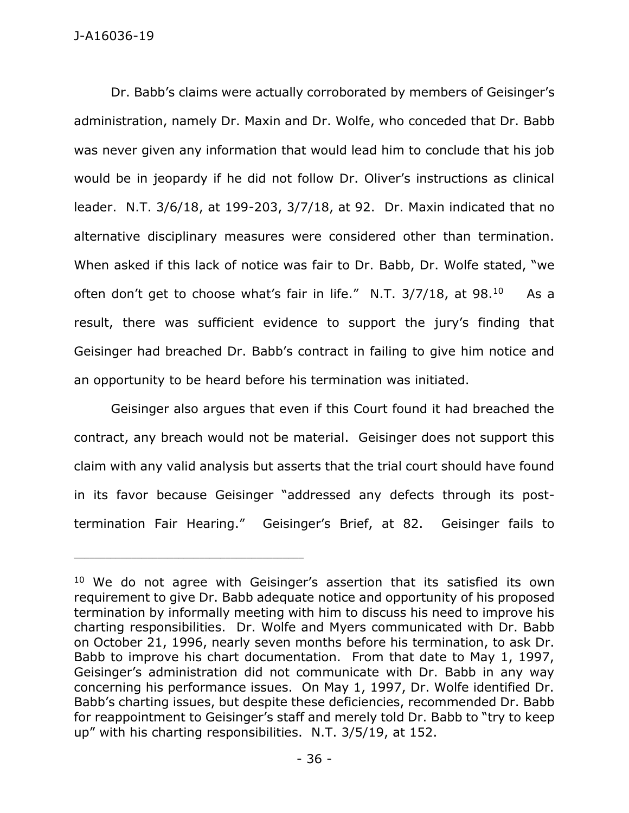Dr. Babb's claims were actually corroborated by members of Geisinger's administration, namely Dr. Maxin and Dr. Wolfe, who conceded that Dr. Babb was never given any information that would lead him to conclude that his job would be in jeopardy if he did not follow Dr. Oliver's instructions as clinical leader. N.T. 3/6/18, at 199-203, 3/7/18, at 92. Dr. Maxin indicated that no alternative disciplinary measures were considered other than termination. When asked if this lack of notice was fair to Dr. Babb, Dr. Wolfe stated, "we often don't get to choose what's fair in life." N.T. 3/7/18, at 98.<sup>10</sup> As a result, there was sufficient evidence to support the jury's finding that Geisinger had breached Dr. Babb's contract in failing to give him notice and an opportunity to be heard before his termination was initiated.

Geisinger also argues that even if this Court found it had breached the contract, any breach would not be material. Geisinger does not support this claim with any valid analysis but asserts that the trial court should have found in its favor because Geisinger "addressed any defects through its posttermination Fair Hearing." Geisinger's Brief, at 82. Geisinger fails to

<sup>&</sup>lt;sup>10</sup> We do not agree with Geisinger's assertion that its satisfied its own requirement to give Dr. Babb adequate notice and opportunity of his proposed termination by informally meeting with him to discuss his need to improve his charting responsibilities. Dr. Wolfe and Myers communicated with Dr. Babb on October 21, 1996, nearly seven months before his termination, to ask Dr. Babb to improve his chart documentation. From that date to May 1, 1997, Geisinger's administration did not communicate with Dr. Babb in any way concerning his performance issues. On May 1, 1997, Dr. Wolfe identified Dr. Babb's charting issues, but despite these deficiencies, recommended Dr. Babb for reappointment to Geisinger's staff and merely told Dr. Babb to "try to keep up" with his charting responsibilities. N.T. 3/5/19, at 152.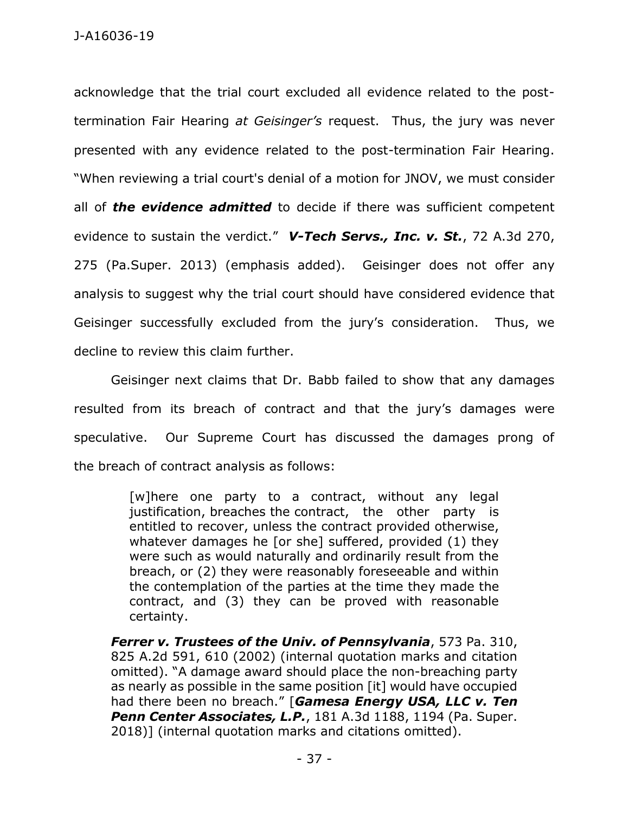acknowledge that the trial court excluded all evidence related to the posttermination Fair Hearing *at Geisinger's* request. Thus, the jury was never presented with any evidence related to the post-termination Fair Hearing. "When reviewing a trial court's denial of a motion for JNOV, we must consider all of *the evidence admitted* to decide if there was sufficient competent evidence to sustain the verdict." *V-Tech Servs., Inc. v. St.*, 72 A.3d 270, 275 (Pa.Super. 2013) (emphasis added). Geisinger does not offer any analysis to suggest why the trial court should have considered evidence that Geisinger successfully excluded from the jury's consideration. Thus, we decline to review this claim further.

Geisinger next claims that Dr. Babb failed to show that any damages resulted from its breach of contract and that the jury's damages were speculative. Our Supreme Court has discussed the damages prong of the breach of contract analysis as follows:

> [w]here one party to a contract, without any legal justification, breaches the contract, the other party is entitled to recover, unless the contract provided otherwise, whatever damages he [or she] suffered, provided (1) they were such as would naturally and ordinarily result from the breach, or (2) they were reasonably foreseeable and within the contemplation of the parties at the time they made the contract, and (3) they can be proved with reasonable certainty.

*Ferrer v. Trustees of the Univ. of Pennsylvania*, 573 Pa. 310, 825 A.2d 591, 610 (2002) (internal quotation marks and citation omitted). "A damage award should place the non-breaching party as nearly as possible in the same position [it] would have occupied had there been no breach." [*Gamesa Energy USA, LLC v. Ten Penn Center Associates, L.P.*, 181 A.3d 1188, 1194 (Pa. Super. 2018)] (internal quotation marks and citations omitted).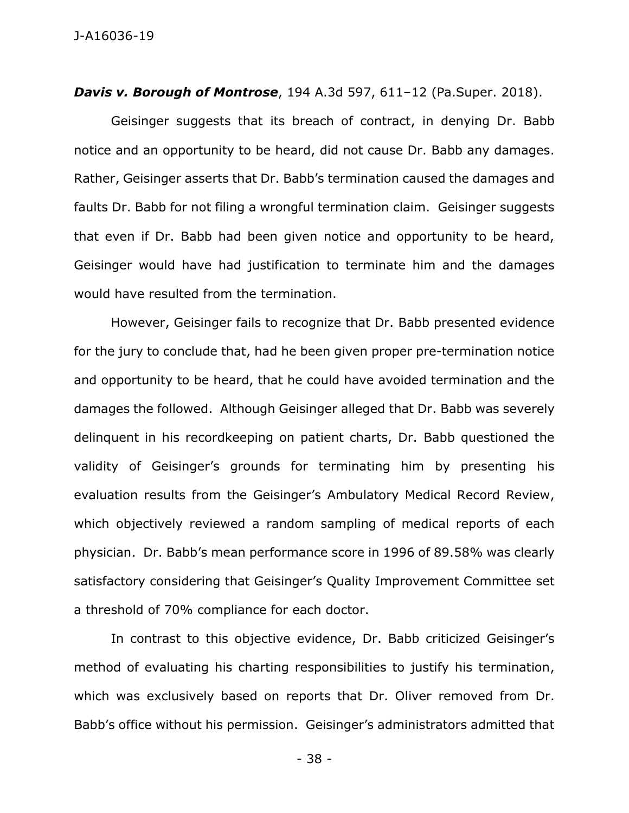*Davis v. Borough of Montrose*, 194 A.3d 597, 611–12 (Pa.Super. 2018).

Geisinger suggests that its breach of contract, in denying Dr. Babb notice and an opportunity to be heard, did not cause Dr. Babb any damages. Rather, Geisinger asserts that Dr. Babb's termination caused the damages and faults Dr. Babb for not filing a wrongful termination claim. Geisinger suggests that even if Dr. Babb had been given notice and opportunity to be heard, Geisinger would have had justification to terminate him and the damages would have resulted from the termination.

However, Geisinger fails to recognize that Dr. Babb presented evidence for the jury to conclude that, had he been given proper pre-termination notice and opportunity to be heard, that he could have avoided termination and the damages the followed. Although Geisinger alleged that Dr. Babb was severely delinquent in his recordkeeping on patient charts, Dr. Babb questioned the validity of Geisinger's grounds for terminating him by presenting his evaluation results from the Geisinger's Ambulatory Medical Record Review, which objectively reviewed a random sampling of medical reports of each physician. Dr. Babb's mean performance score in 1996 of 89.58% was clearly satisfactory considering that Geisinger's Quality Improvement Committee set a threshold of 70% compliance for each doctor.

In contrast to this objective evidence, Dr. Babb criticized Geisinger's method of evaluating his charting responsibilities to justify his termination, which was exclusively based on reports that Dr. Oliver removed from Dr. Babb's office without his permission. Geisinger's administrators admitted that

- 38 -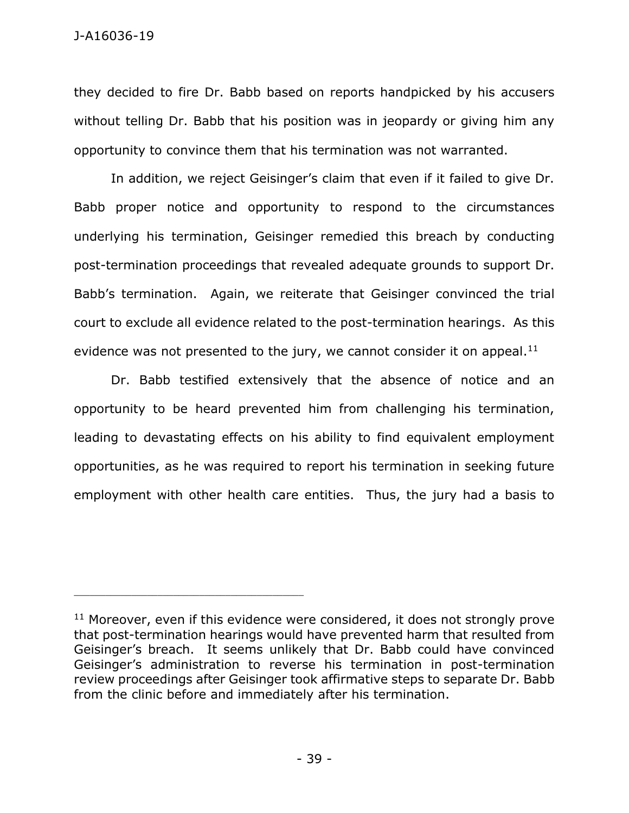they decided to fire Dr. Babb based on reports handpicked by his accusers without telling Dr. Babb that his position was in jeopardy or giving him any opportunity to convince them that his termination was not warranted.

In addition, we reject Geisinger's claim that even if it failed to give Dr. Babb proper notice and opportunity to respond to the circumstances underlying his termination, Geisinger remedied this breach by conducting post-termination proceedings that revealed adequate grounds to support Dr. Babb's termination. Again, we reiterate that Geisinger convinced the trial court to exclude all evidence related to the post-termination hearings. As this evidence was not presented to the jury, we cannot consider it on appeal. $^{11}$ 

Dr. Babb testified extensively that the absence of notice and an opportunity to be heard prevented him from challenging his termination, leading to devastating effects on his ability to find equivalent employment opportunities, as he was required to report his termination in seeking future employment with other health care entities. Thus, the jury had a basis to

<sup>&</sup>lt;sup>11</sup> Moreover, even if this evidence were considered, it does not strongly prove that post-termination hearings would have prevented harm that resulted from Geisinger's breach. It seems unlikely that Dr. Babb could have convinced Geisinger's administration to reverse his termination in post-termination review proceedings after Geisinger took affirmative steps to separate Dr. Babb from the clinic before and immediately after his termination.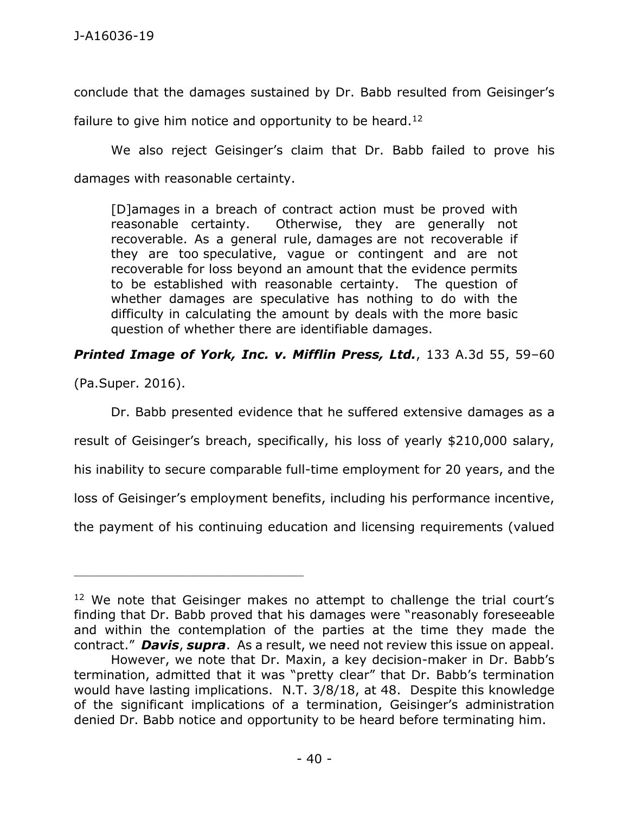conclude that the damages sustained by Dr. Babb resulted from Geisinger's

failure to give him notice and opportunity to be heard.<sup>12</sup>

We also reject Geisinger's claim that Dr. Babb failed to prove his damages with reasonable certainty.

[D]amages in a breach of contract action must be proved with reasonable certainty. Otherwise, they are generally not recoverable. As a general rule, damages are not recoverable if they are too speculative, vague or contingent and are not recoverable for loss beyond an amount that the evidence permits to be established with reasonable certainty. The question of whether damages are speculative has nothing to do with the difficulty in calculating the amount by deals with the more basic question of whether there are identifiable damages.

# *Printed Image of York, Inc. v. Mifflin Press, Ltd.*, 133 A.3d 55, 59–60

(Pa.Super. 2016).

\_\_\_\_\_\_\_\_\_\_\_\_\_\_\_\_\_\_\_\_\_\_\_\_\_\_\_\_\_\_\_\_\_\_\_\_\_\_\_\_\_\_\_\_

Dr. Babb presented evidence that he suffered extensive damages as a result of Geisinger's breach, specifically, his loss of yearly \$210,000 salary, his inability to secure comparable full-time employment for 20 years, and the loss of Geisinger's employment benefits, including his performance incentive, the payment of his continuing education and licensing requirements (valued

<sup>&</sup>lt;sup>12</sup> We note that Geisinger makes no attempt to challenge the trial court's finding that Dr. Babb proved that his damages were "reasonably foreseeable and within the contemplation of the parties at the time they made the contract." *Davis*, *supra*. As a result, we need not review this issue on appeal.

However, we note that Dr. Maxin, a key decision-maker in Dr. Babb's termination, admitted that it was "pretty clear" that Dr. Babb's termination would have lasting implications. N.T. 3/8/18, at 48. Despite this knowledge of the significant implications of a termination, Geisinger's administration denied Dr. Babb notice and opportunity to be heard before terminating him.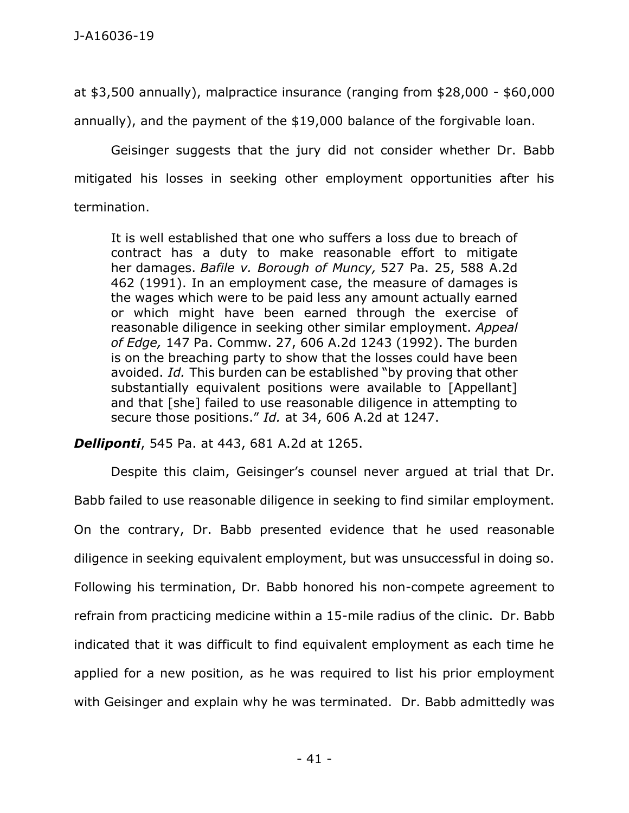at \$3,500 annually), malpractice insurance (ranging from \$28,000 - \$60,000

annually), and the payment of the \$19,000 balance of the forgivable loan.

Geisinger suggests that the jury did not consider whether Dr. Babb mitigated his losses in seeking other employment opportunities after his termination.

It is well established that one who suffers a loss due to breach of contract has a duty to make reasonable effort to mitigate her damages. *Bafile v. Borough of Muncy,* 527 Pa. 25, 588 A.2d 462 (1991). In an employment case, the measure of damages is the wages which were to be paid less any amount actually earned or which might have been earned through the exercise of reasonable diligence in seeking other similar employment. *Appeal of Edge,* 147 Pa. Commw. 27, 606 A.2d 1243 (1992). The burden is on the breaching party to show that the losses could have been avoided. *Id.* This burden can be established "by proving that other substantially equivalent positions were available to [Appellant] and that [she] failed to use reasonable diligence in attempting to secure those positions." *Id.* at 34, 606 A.2d at 1247.

*Delliponti*, 545 Pa. at 443, 681 A.2d at 1265.

Despite this claim, Geisinger's counsel never argued at trial that Dr. Babb failed to use reasonable diligence in seeking to find similar employment. On the contrary, Dr. Babb presented evidence that he used reasonable diligence in seeking equivalent employment, but was unsuccessful in doing so. Following his termination, Dr. Babb honored his non-compete agreement to refrain from practicing medicine within a 15-mile radius of the clinic. Dr. Babb indicated that it was difficult to find equivalent employment as each time he applied for a new position, as he was required to list his prior employment with Geisinger and explain why he was terminated. Dr. Babb admittedly was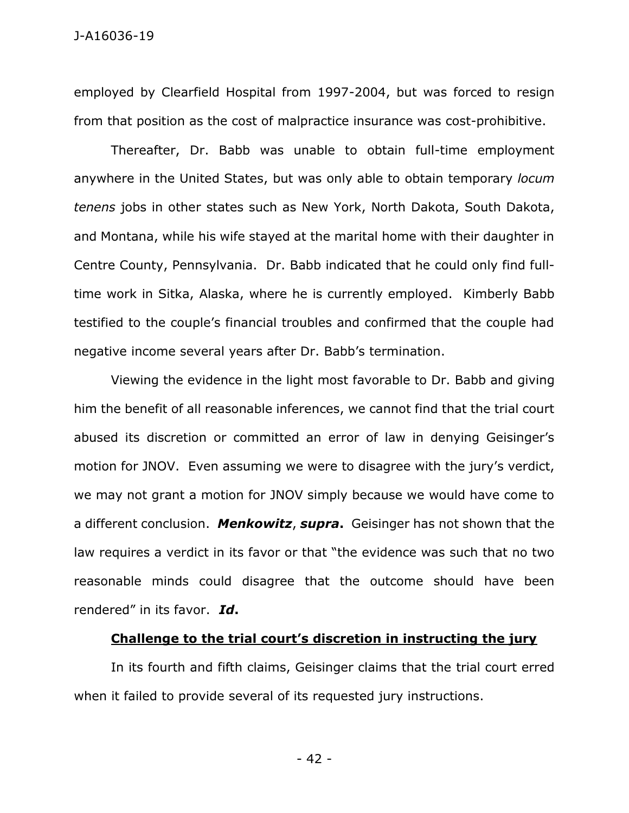employed by Clearfield Hospital from 1997-2004, but was forced to resign from that position as the cost of malpractice insurance was cost-prohibitive.

Thereafter, Dr. Babb was unable to obtain full-time employment anywhere in the United States, but was only able to obtain temporary *locum tenens* jobs in other states such as New York, North Dakota, South Dakota, and Montana, while his wife stayed at the marital home with their daughter in Centre County, Pennsylvania. Dr. Babb indicated that he could only find fulltime work in Sitka, Alaska, where he is currently employed. Kimberly Babb testified to the couple's financial troubles and confirmed that the couple had negative income several years after Dr. Babb's termination.

Viewing the evidence in the light most favorable to Dr. Babb and giving him the benefit of all reasonable inferences, we cannot find that the trial court abused its discretion or committed an error of law in denying Geisinger's motion for JNOV. Even assuming we were to disagree with the jury's verdict, we may not grant a motion for JNOV simply because we would have come to a different conclusion. *Menkowitz*, *supra***.** Geisinger has not shown that the law requires a verdict in its favor or that "the evidence was such that no two reasonable minds could disagree that the outcome should have been rendered" in its favor. *Id***.**

### **Challenge to the trial court's discretion in instructing the jury**

In its fourth and fifth claims, Geisinger claims that the trial court erred when it failed to provide several of its requested jury instructions.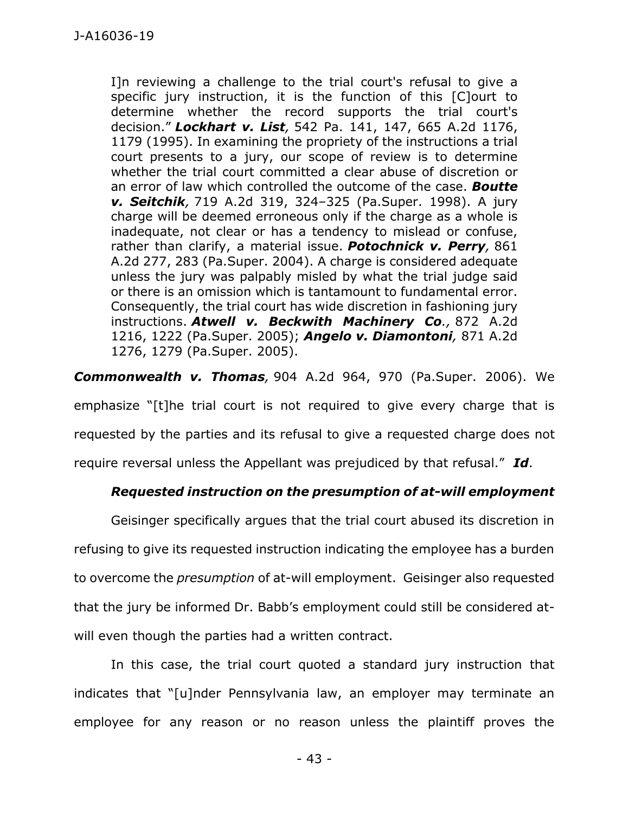I]n reviewing a challenge to the trial court's refusal to give a specific jury instruction, it is the function of this [C]ourt to determine whether the record supports the trial court's decision." *Lockhart v. List,* 542 Pa. 141, 147, 665 A.2d 1176, 1179 (1995). In examining the propriety of the instructions a trial court presents to a jury, our scope of review is to determine whether the trial court committed a clear abuse of discretion or an error of law which controlled the outcome of the case. *Boutte v. Seitchik,* 719 A.2d 319, 324–325 (Pa.Super. 1998). A jury charge will be deemed erroneous only if the charge as a whole is inadequate, not clear or has a tendency to mislead or confuse, rather than clarify, a material issue. *Potochnick v. Perry,* 861 A.2d 277, 283 (Pa.Super. 2004). A charge is considered adequate unless the jury was palpably misled by what the trial judge said or there is an omission which is tantamount to fundamental error. Consequently, the trial court has wide discretion in fashioning jury instructions. *Atwell v. Beckwith Machinery Co.,* 872 A.2d 1216, 1222 (Pa.Super. 2005); *Angelo v. Diamontoni,* 871 A.2d 1276, 1279 (Pa.Super. 2005).

*Commonwealth v. Thomas,* 904 A.2d 964, 970 (Pa.Super. 2006). We

emphasize "[t]he trial court is not required to give every charge that is requested by the parties and its refusal to give a requested charge does not require reversal unless the Appellant was prejudiced by that refusal." *Id*.

## *Requested instruction on the presumption of at-will employment*

Geisinger specifically argues that the trial court abused its discretion in refusing to give its requested instruction indicating the employee has a burden to overcome the *presumption* of at-will employment. Geisinger also requested that the jury be informed Dr. Babb's employment could still be considered atwill even though the parties had a written contract.

In this case, the trial court quoted a standard jury instruction that indicates that "[u]nder Pennsylvania law, an employer may terminate an employee for any reason or no reason unless the plaintiff proves the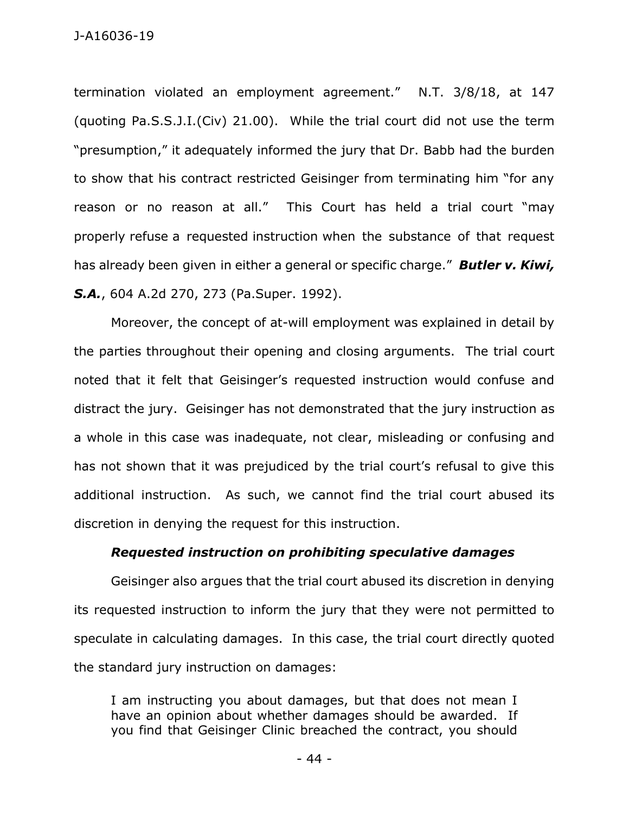termination violated an employment agreement." N.T. 3/8/18, at 147 (quoting Pa.S.S.J.I.(Civ) 21.00). While the trial court did not use the term "presumption," it adequately informed the jury that Dr. Babb had the burden to show that his contract restricted Geisinger from terminating him "for any reason or no reason at all." This Court has held a trial court "may properly refuse a requested instruction when the substance of that request has already been given in either a general or specific charge." *Butler v. Kiwi, S.A.*, 604 A.2d 270, 273 (Pa.Super. 1992).

Moreover, the concept of at-will employment was explained in detail by the parties throughout their opening and closing arguments. The trial court noted that it felt that Geisinger's requested instruction would confuse and distract the jury. Geisinger has not demonstrated that the jury instruction as a whole in this case was inadequate, not clear, misleading or confusing and has not shown that it was prejudiced by the trial court's refusal to give this additional instruction. As such, we cannot find the trial court abused its discretion in denying the request for this instruction.

#### *Requested instruction on prohibiting speculative damages*

Geisinger also argues that the trial court abused its discretion in denying its requested instruction to inform the jury that they were not permitted to speculate in calculating damages. In this case, the trial court directly quoted the standard jury instruction on damages:

I am instructing you about damages, but that does not mean I have an opinion about whether damages should be awarded. If you find that Geisinger Clinic breached the contract, you should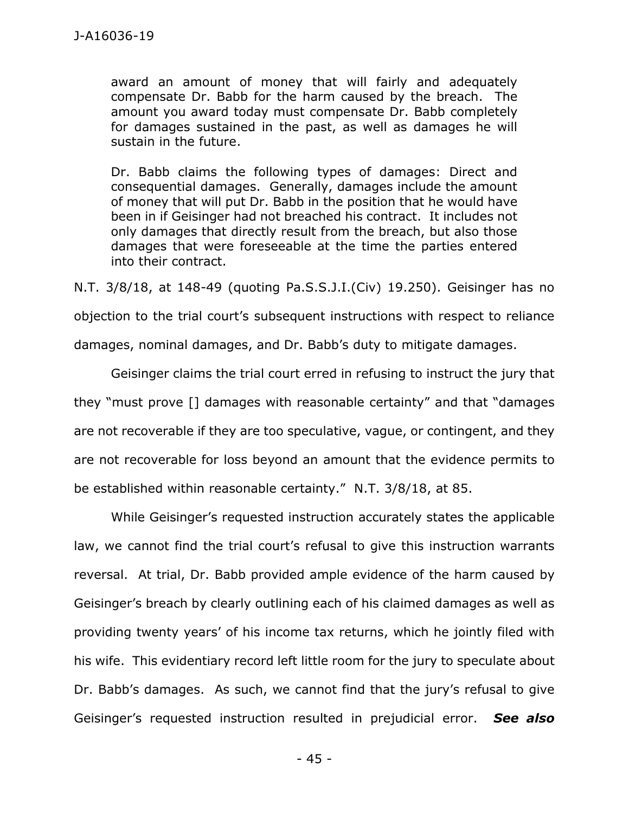award an amount of money that will fairly and adequately compensate Dr. Babb for the harm caused by the breach. The amount you award today must compensate Dr. Babb completely for damages sustained in the past, as well as damages he will sustain in the future.

Dr. Babb claims the following types of damages: Direct and consequential damages. Generally, damages include the amount of money that will put Dr. Babb in the position that he would have been in if Geisinger had not breached his contract. It includes not only damages that directly result from the breach, but also those damages that were foreseeable at the time the parties entered into their contract.

N.T. 3/8/18, at 148-49 (quoting Pa.S.S.J.I.(Civ) 19.250). Geisinger has no objection to the trial court's subsequent instructions with respect to reliance damages, nominal damages, and Dr. Babb's duty to mitigate damages.

Geisinger claims the trial court erred in refusing to instruct the jury that they "must prove [] damages with reasonable certainty" and that "damages are not recoverable if they are too speculative, vague, or contingent, and they are not recoverable for loss beyond an amount that the evidence permits to be established within reasonable certainty." N.T. 3/8/18, at 85.

While Geisinger's requested instruction accurately states the applicable law, we cannot find the trial court's refusal to give this instruction warrants reversal. At trial, Dr. Babb provided ample evidence of the harm caused by Geisinger's breach by clearly outlining each of his claimed damages as well as providing twenty years' of his income tax returns, which he jointly filed with his wife. This evidentiary record left little room for the jury to speculate about Dr. Babb's damages. As such, we cannot find that the jury's refusal to give Geisinger's requested instruction resulted in prejudicial error. *See also*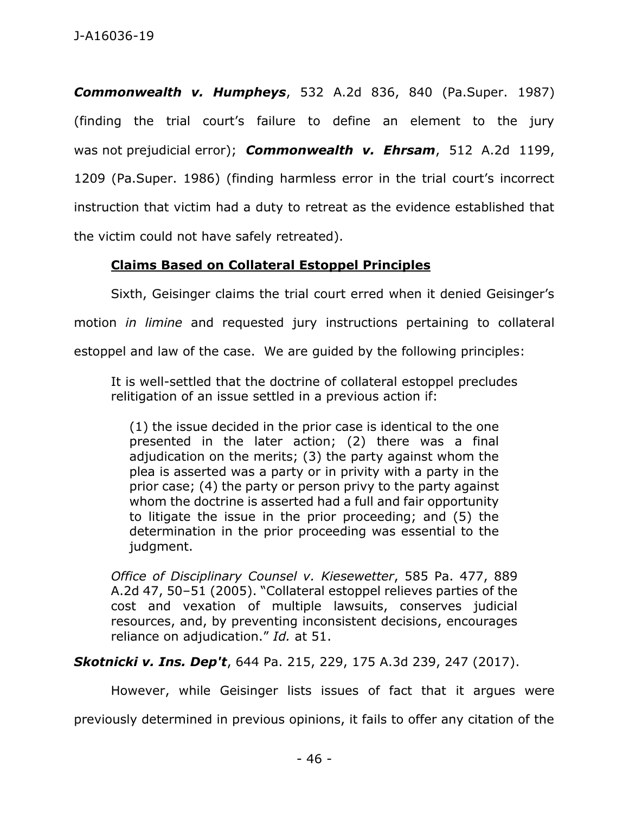*Commonwealth v. Humpheys*, 532 A.2d 836, 840 (Pa.Super. 1987) (finding the trial court's failure to define an element to the jury was not prejudicial error); *Commonwealth v. Ehrsam*, 512 A.2d 1199, 1209 (Pa.Super. 1986) (finding harmless error in the trial court's incorrect instruction that victim had a duty to retreat as the evidence established that the victim could not have safely retreated).

# **Claims Based on Collateral Estoppel Principles**

Sixth, Geisinger claims the trial court erred when it denied Geisinger's motion *in limine* and requested jury instructions pertaining to collateral estoppel and law of the case. We are guided by the following principles:

It is well-settled that the doctrine of collateral estoppel precludes relitigation of an issue settled in a previous action if:

(1) the issue decided in the prior case is identical to the one presented in the later action; (2) there was a final adjudication on the merits; (3) the party against whom the plea is asserted was a party or in privity with a party in the prior case; (4) the party or person privy to the party against whom the doctrine is asserted had a full and fair opportunity to litigate the issue in the prior proceeding; and (5) the determination in the prior proceeding was essential to the judgment.

*Office of Disciplinary Counsel v. Kiesewetter*, 585 Pa. 477, 889 A.2d 47, 50–51 (2005). "Collateral estoppel relieves parties of the cost and vexation of multiple lawsuits, conserves judicial resources, and, by preventing inconsistent decisions, encourages reliance on adjudication." *Id.* at 51.

*Skotnicki v. Ins. Dep't*, 644 Pa. 215, 229, 175 A.3d 239, 247 (2017).

However, while Geisinger lists issues of fact that it argues were previously determined in previous opinions, it fails to offer any citation of the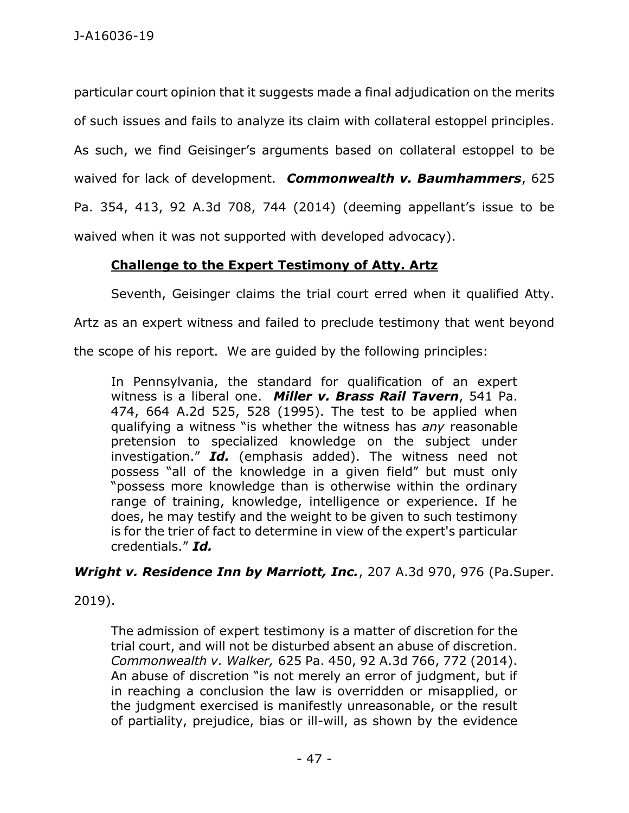particular court opinion that it suggests made a final adjudication on the merits of such issues and fails to analyze its claim with collateral estoppel principles. As such, we find Geisinger's arguments based on collateral estoppel to be waived for lack of development. *Commonwealth v. Baumhammers*, 625 Pa. 354, 413, 92 A.3d 708, 744 (2014) (deeming appellant's issue to be waived when it was not supported with developed advocacy).

# **Challenge to the Expert Testimony of Atty. Artz**

Seventh, Geisinger claims the trial court erred when it qualified Atty.

Artz as an expert witness and failed to preclude testimony that went beyond

the scope of his report. We are guided by the following principles:

In Pennsylvania, the standard for qualification of an expert witness is a liberal one. *Miller v. Brass Rail Tavern*, 541 Pa. 474, 664 A.2d 525, 528 (1995). The test to be applied when qualifying a witness "is whether the witness has *any* reasonable pretension to specialized knowledge on the subject under investigation." *Id.* (emphasis added). The witness need not possess "all of the knowledge in a given field" but must only "possess more knowledge than is otherwise within the ordinary range of training, knowledge, intelligence or experience. If he does, he may testify and the weight to be given to such testimony is for the trier of fact to determine in view of the expert's particular credentials." *Id.*

*Wright v. Residence Inn by Marriott, Inc.*, 207 A.3d 970, 976 (Pa.Super.

2019).

The admission of expert testimony is a matter of discretion for the trial court, and will not be disturbed absent an abuse of discretion. *Commonwealth v. Walker,* 625 Pa. 450, 92 A.3d 766, 772 (2014). An abuse of discretion "is not merely an error of judgment, but if in reaching a conclusion the law is overridden or misapplied, or the judgment exercised is manifestly unreasonable, or the result of partiality, prejudice, bias or ill-will, as shown by the evidence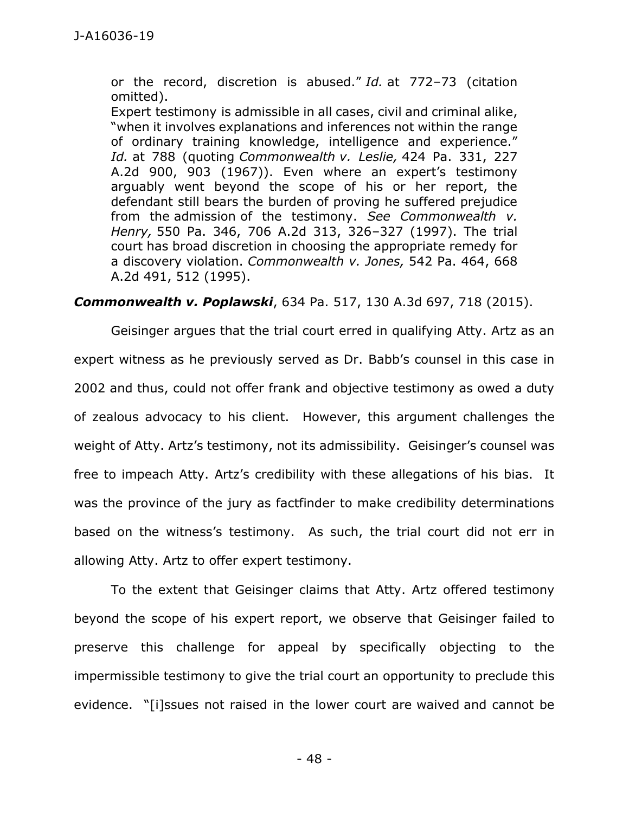or the record, discretion is abused." *Id.* at 772–73 (citation omitted).

Expert testimony is admissible in all cases, civil and criminal alike, "when it involves explanations and inferences not within the range of ordinary training knowledge, intelligence and experience." *Id.* at 788 (quoting *Commonwealth v. Leslie,* 424 Pa. 331, 227 A.2d 900, 903 (1967)). Even where an expert's testimony arguably went beyond the scope of his or her report, the defendant still bears the burden of proving he suffered prejudice from the admission of the testimony. *See Commonwealth v. Henry,* 550 Pa. 346, 706 A.2d 313, 326–327 (1997). The trial court has broad discretion in choosing the appropriate remedy for a discovery violation. *Commonwealth v. Jones,* 542 Pa. 464, 668 A.2d 491, 512 (1995).

### *Commonwealth v. Poplawski*, 634 Pa. 517, 130 A.3d 697, 718 (2015).

Geisinger argues that the trial court erred in qualifying Atty. Artz as an expert witness as he previously served as Dr. Babb's counsel in this case in 2002 and thus, could not offer frank and objective testimony as owed a duty of zealous advocacy to his client. However, this argument challenges the weight of Atty. Artz's testimony, not its admissibility. Geisinger's counsel was free to impeach Atty. Artz's credibility with these allegations of his bias. It was the province of the jury as factfinder to make credibility determinations based on the witness's testimony. As such, the trial court did not err in allowing Atty. Artz to offer expert testimony.

To the extent that Geisinger claims that Atty. Artz offered testimony beyond the scope of his expert report, we observe that Geisinger failed to preserve this challenge for appeal by specifically objecting to the impermissible testimony to give the trial court an opportunity to preclude this evidence. "[i]ssues not raised in the lower court are waived and cannot be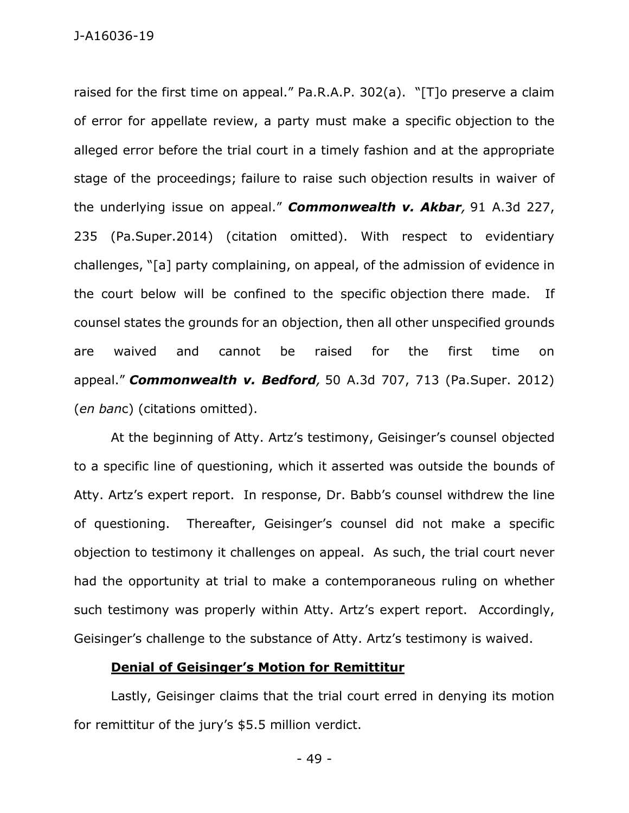raised for the first time on appeal." Pa.R.A.P. 302(a). "[T]o preserve a claim of error for appellate review, a party must make a specific objection to the alleged error before the trial court in a timely fashion and at the appropriate stage of the proceedings; failure to raise such objection results in waiver of the underlying issue on appeal." *Commonwealth v. Akbar,* 91 A.3d 227, 235 (Pa.Super.2014) (citation omitted). With respect to evidentiary challenges, "[a] party complaining, on appeal, of the admission of evidence in the court below will be confined to the specific objection there made. If counsel states the grounds for an objection, then all other unspecified grounds are waived and cannot be raised for the first time on appeal." *Commonwealth v. Bedford,* 50 A.3d 707, 713 (Pa.Super. 2012) (*en ban*c) (citations omitted).

At the beginning of Atty. Artz's testimony, Geisinger's counsel objected to a specific line of questioning, which it asserted was outside the bounds of Atty. Artz's expert report. In response, Dr. Babb's counsel withdrew the line of questioning. Thereafter, Geisinger's counsel did not make a specific objection to testimony it challenges on appeal. As such, the trial court never had the opportunity at trial to make a contemporaneous ruling on whether such testimony was properly within Atty. Artz's expert report. Accordingly, Geisinger's challenge to the substance of Atty. Artz's testimony is waived.

## **Denial of Geisinger's Motion for Remittitur**

Lastly, Geisinger claims that the trial court erred in denying its motion for remittitur of the jury's \$5.5 million verdict.

- 49 -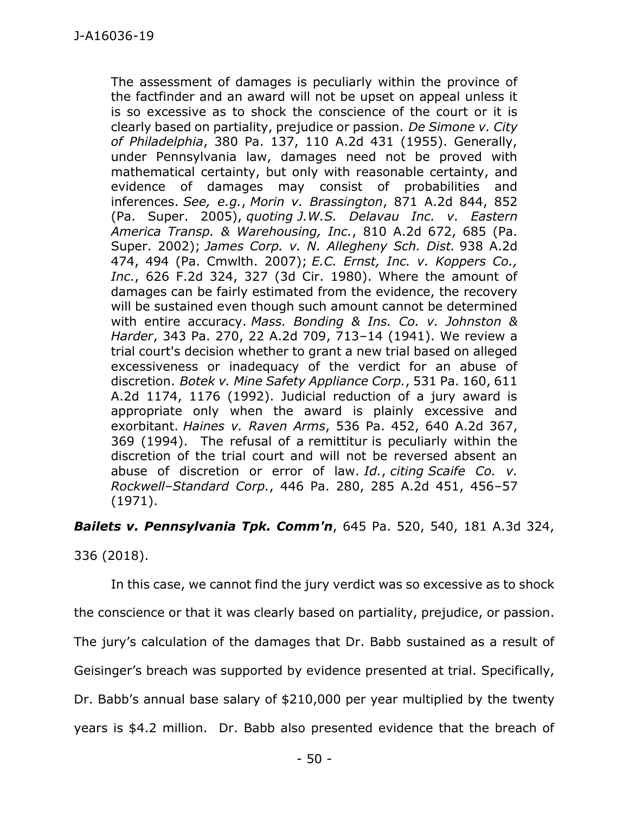The assessment of damages is peculiarly within the province of the factfinder and an award will not be upset on appeal unless it is so excessive as to shock the conscience of the court or it is clearly based on partiality, prejudice or passion. *De Simone v. City of Philadelphia*, 380 Pa. 137, 110 A.2d 431 (1955). Generally, under Pennsylvania law, damages need not be proved with mathematical certainty, but only with reasonable certainty, and evidence of damages may consist of probabilities and inferences. *See, e.g.*, *Morin v. Brassington*, 871 A.2d 844, 852 (Pa. Super. 2005), *quoting J.W.S. Delavau Inc. v. Eastern America Transp. & Warehousing, Inc.*, 810 A.2d 672, 685 (Pa. Super. 2002); *James Corp. v. N. Allegheny Sch. Dist.* 938 A.2d 474, 494 (Pa. Cmwlth. 2007); *E.C. Ernst, Inc. v. Koppers Co., Inc.*, 626 F.2d 324, 327 (3d Cir. 1980). Where the amount of damages can be fairly estimated from the evidence, the recovery will be sustained even though such amount cannot be determined with entire accuracy. *Mass. Bonding & Ins. Co. v. Johnston & Harder*, 343 Pa. 270, 22 A.2d 709, 713–14 (1941). We review a trial court's decision whether to grant a new trial based on alleged excessiveness or inadequacy of the verdict for an abuse of discretion. *Botek v. Mine Safety Appliance Corp.*, 531 Pa. 160, 611 A.2d 1174, 1176 (1992). Judicial reduction of a jury award is appropriate only when the award is plainly excessive and exorbitant. *Haines v. Raven Arms*, 536 Pa. 452, 640 A.2d 367, 369 (1994). The refusal of a remittitur is peculiarly within the discretion of the trial court and will not be reversed absent an abuse of discretion or error of law. *Id.*, *citing Scaife Co. v. Rockwell–Standard Corp.*, 446 Pa. 280, 285 A.2d 451, 456–57 (1971).

*Bailets v. Pennsylvania Tpk. Comm'n*, 645 Pa. 520, 540, 181 A.3d 324,

336 (2018).

In this case, we cannot find the jury verdict was so excessive as to shock the conscience or that it was clearly based on partiality, prejudice, or passion. The jury's calculation of the damages that Dr. Babb sustained as a result of Geisinger's breach was supported by evidence presented at trial. Specifically, Dr. Babb's annual base salary of \$210,000 per year multiplied by the twenty years is \$4.2 million. Dr. Babb also presented evidence that the breach of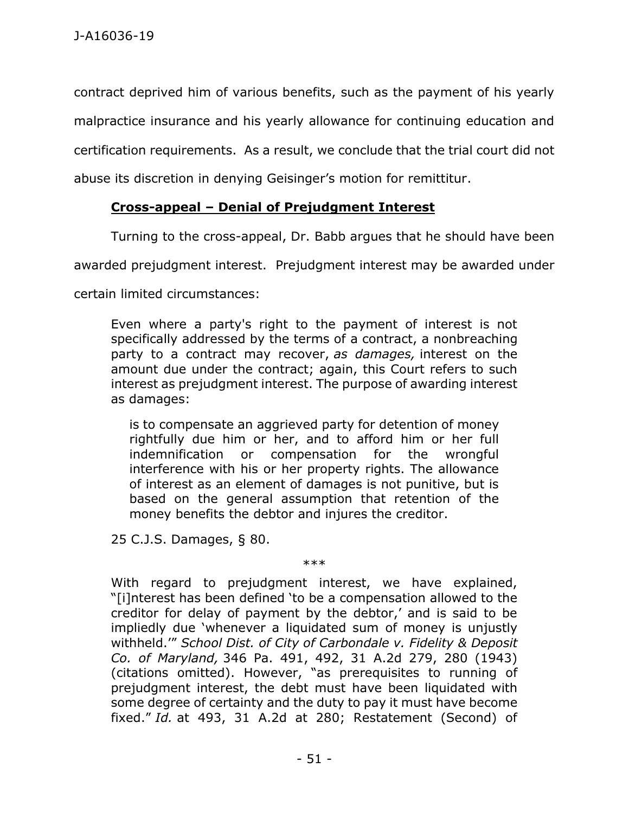contract deprived him of various benefits, such as the payment of his yearly malpractice insurance and his yearly allowance for continuing education and certification requirements. As a result, we conclude that the trial court did not abuse its discretion in denying Geisinger's motion for remittitur.

# **Cross-appeal – Denial of Prejudgment Interest**

Turning to the cross-appeal, Dr. Babb argues that he should have been

awarded prejudgment interest. Prejudgment interest may be awarded under

certain limited circumstances:

Even where a party's right to the payment of interest is not specifically addressed by the terms of a contract, a nonbreaching party to a contract may recover, *as damages,* interest on the amount due under the contract; again, this Court refers to such interest as prejudgment interest. The purpose of awarding interest as damages:

is to compensate an aggrieved party for detention of money rightfully due him or her, and to afford him or her full indemnification or compensation for the wrongful interference with his or her property rights. The allowance of interest as an element of damages is not punitive, but is based on the general assumption that retention of the money benefits the debtor and injures the creditor.

25 C.J.S. Damages, § 80.

\*\*\*

With regard to prejudgment interest, we have explained, "[i]nterest has been defined 'to be a compensation allowed to the creditor for delay of payment by the debtor,' and is said to be impliedly due 'whenever a liquidated sum of money is unjustly withheld.'" *School Dist. of City of Carbondale v. Fidelity & Deposit Co. of Maryland,* 346 Pa. 491, 492, 31 A.2d 279, 280 (1943) (citations omitted). However, "as prerequisites to running of prejudgment interest, the debt must have been liquidated with some degree of certainty and the duty to pay it must have become fixed." *Id.* at 493, 31 A.2d at 280; Restatement (Second) of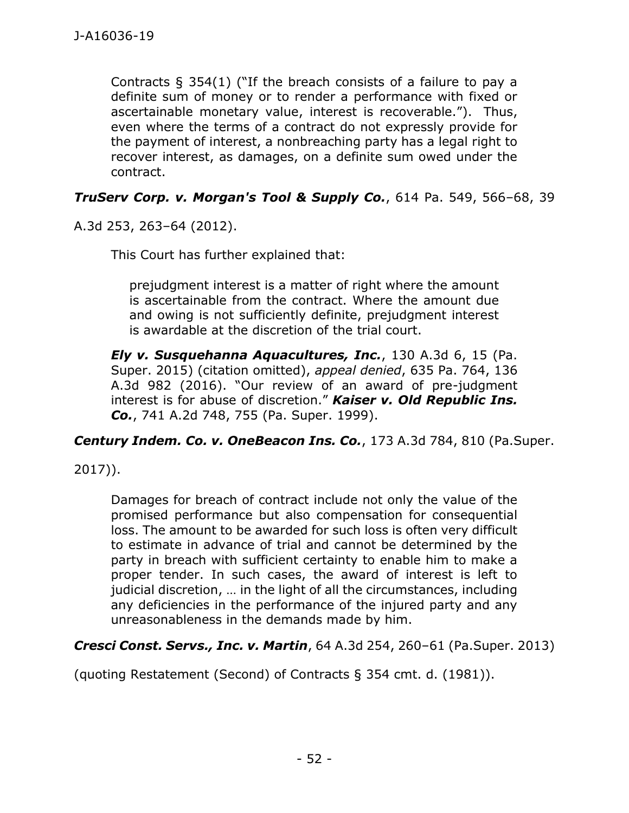Contracts  $\S$  354(1) ("If the breach consists of a failure to pay a definite sum of money or to render a performance with fixed or ascertainable monetary value, interest is recoverable."). Thus, even where the terms of a contract do not expressly provide for the payment of interest, a nonbreaching party has a legal right to recover interest, as damages, on a definite sum owed under the contract.

*TruServ Corp. v. Morgan's Tool & Supply Co.*, 614 Pa. 549, 566–68, 39

A.3d 253, 263–64 (2012).

This Court has further explained that:

prejudgment interest is a matter of right where the amount is ascertainable from the contract. Where the amount due and owing is not sufficiently definite, prejudgment interest is awardable at the discretion of the trial court.

*Ely v. Susquehanna Aquacultures, Inc.*, 130 A.3d 6, 15 (Pa. Super. 2015) (citation omitted), *appeal denied*, 635 Pa. 764, 136 A.3d 982 (2016). "Our review of an award of pre-judgment interest is for abuse of discretion." *Kaiser v. Old Republic Ins. Co.*, 741 A.2d 748, 755 (Pa. Super. 1999).

*Century Indem. Co. v. OneBeacon Ins. Co.*, 173 A.3d 784, 810 (Pa.Super.

2017)).

Damages for breach of contract include not only the value of the promised performance but also compensation for consequential loss. The amount to be awarded for such loss is often very difficult to estimate in advance of trial and cannot be determined by the party in breach with sufficient certainty to enable him to make a proper tender. In such cases, the award of interest is left to judicial discretion, … in the light of all the circumstances, including any deficiencies in the performance of the injured party and any unreasonableness in the demands made by him.

*Cresci Const. Servs., Inc. v. Martin*, 64 A.3d 254, 260–61 (Pa.Super. 2013)

(quoting Restatement (Second) of Contracts § 354 cmt. d. (1981)).